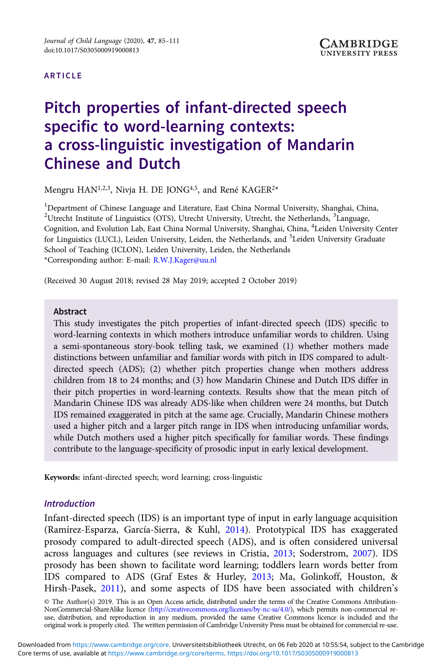#### ARTICLE

# Pitch properties of infant-directed speech specific to word-learning contexts: a cross-linguistic investigation of Mandarin Chinese and Dutch

Mengru HAN<sup>1,2,3</sup>, Nivja H. DE JONG<sup>4,5</sup>, and René KAGER<sup>2\*</sup>

<sup>1</sup>Department of Chinese Language and Literature, East China Normal University, Shanghai, China, <sup>2</sup>Utrecht Institute of Linguistics (OTS), Utrecht University, Utrecht, the Netherlands,  $3$ Language, Cognition, and Evolution Lab, East China Normal University, Shanghai, China, <sup>4</sup>Leiden University Center for Linguistics (LUCL), Leiden University, Leiden, the Netherlands, and <sup>5</sup>Leiden University Graduate School of Teaching (ICLON), Leiden University, Leiden, the Netherlands \*Corresponding author: E-mail: [R.W.J.Kager@uu.nl](mailto:R.W.J.Kager@uu.nl)

(Received 30 August 2018; revised 28 May 2019; accepted 2 October 2019)

#### Abstract

This study investigates the pitch properties of infant-directed speech (IDS) specific to word-learning contexts in which mothers introduce unfamiliar words to children. Using a semi-spontaneous story-book telling task, we examined (1) whether mothers made distinctions between unfamiliar and familiar words with pitch in IDS compared to adultdirected speech (ADS); (2) whether pitch properties change when mothers address children from 18 to 24 months; and (3) how Mandarin Chinese and Dutch IDS differ in their pitch properties in word-learning contexts. Results show that the mean pitch of Mandarin Chinese IDS was already ADS-like when children were 24 months, but Dutch IDS remained exaggerated in pitch at the same age. Crucially, Mandarin Chinese mothers used a higher pitch and a larger pitch range in IDS when introducing unfamiliar words, while Dutch mothers used a higher pitch specifically for familiar words. These findings contribute to the language-specificity of prosodic input in early lexical development.

Keywords: infant-directed speech; word learning; cross-linguistic

#### Introduction

Infant-directed speech (IDS) is an important type of input in early language acquisition (Ramírez-Esparza, García-Sierra, & Kuhl, [2014\)](#page-26-0). Prototypical IDS has exaggerated prosody compared to adult-directed speech (ADS), and is often considered universal across languages and cultures (see reviews in Cristia, [2013;](#page-24-0) Soderstrom, [2007\)](#page-26-0). IDS prosody has been shown to facilitate word learning; toddlers learn words better from IDS compared to ADS (Graf Estes & Hurley, [2013](#page-25-0); Ma, Golinkoff, Houston, & Hirsh-Pasek, [2011\)](#page-25-0), and some aspects of IDS have been associated with children's

© The Author(s) 2019. This is an Open Access article, distributed under the terms of the Creative Commons AttributionNonCommercial-ShareAlike licence (<http://creativecommons.org/licenses/by-nc-sa/4.0/>), which permits non-commercial re-<br>use, distribution, and reproduction in any medium, provided the same Creative Commons licence is includ original work is properly cited. The written permission of Cambridge University Press must be obtained for commercial re-use.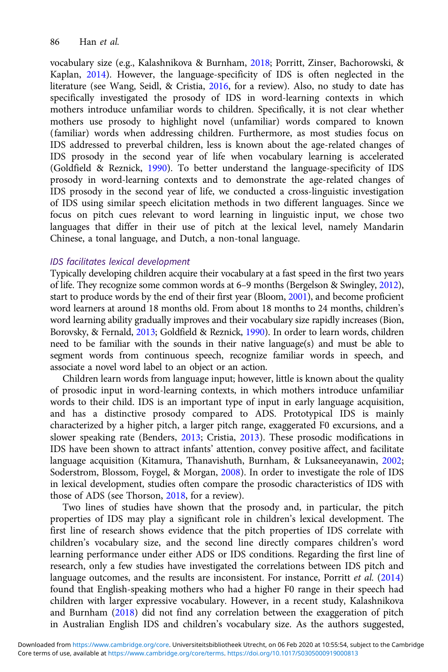vocabulary size (e.g., Kalashnikova & Burnham, [2018;](#page-25-0) Porritt, Zinser, Bachorowski, & Kaplan, [2014\)](#page-26-0). However, the language-specificity of IDS is often neglected in the literature (see Wang, Seidl, & Cristia, [2016,](#page-26-0) for a review). Also, no study to date has specifically investigated the prosody of IDS in word-learning contexts in which mothers introduce unfamiliar words to children. Specifically, it is not clear whether mothers use prosody to highlight novel (unfamiliar) words compared to known (familiar) words when addressing children. Furthermore, as most studies focus on IDS addressed to preverbal children, less is known about the age-related changes of IDS prosody in the second year of life when vocabulary learning is accelerated (Goldfield & Reznick, [1990\)](#page-25-0). To better understand the language-specificity of IDS prosody in word-learning contexts and to demonstrate the age-related changes of IDS prosody in the second year of life, we conducted a cross-linguistic investigation of IDS using similar speech elicitation methods in two different languages. Since we focus on pitch cues relevant to word learning in linguistic input, we chose two languages that differ in their use of pitch at the lexical level, namely Mandarin Chinese, a tonal language, and Dutch, a non-tonal language.

## IDS facilitates lexical development

Typically developing children acquire their vocabulary at a fast speed in the first two years of life. They recognize some common words at 6–9 months (Bergelson & Swingley, [2012\)](#page-24-0), start to produce words by the end of their first year (Bloom, [2001](#page-24-0)), and become proficient word learners at around 18 months old. From about 18 months to 24 months, children's word learning ability gradually improves and their vocabulary size rapidly increases (Bion, Borovsky, & Fernald, [2013](#page-24-0); Goldfield & Reznick, [1990](#page-25-0)). In order to learn words, children need to be familiar with the sounds in their native language(s) and must be able to segment words from continuous speech, recognize familiar words in speech, and associate a novel word label to an object or an action.

Children learn words from language input; however, little is known about the quality of prosodic input in word-learning contexts, in which mothers introduce unfamiliar words to their child. IDS is an important type of input in early language acquisition, and has a distinctive prosody compared to ADS. Prototypical IDS is mainly characterized by a higher pitch, a larger pitch range, exaggerated F0 excursions, and a slower speaking rate (Benders, [2013;](#page-24-0) Cristia, [2013\)](#page-24-0). These prosodic modifications in IDS have been shown to attract infants' attention, convey positive affect, and facilitate language acquisition (Kitamura, Thanavishuth, Burnham, & Luksaneeyanawin, [2002](#page-25-0); Soderstrom, Blossom, Foygel, & Morgan, [2008](#page-26-0)). In order to investigate the role of IDS in lexical development, studies often compare the prosodic characteristics of IDS with those of ADS (see Thorson, [2018](#page-26-0), for a review).

Two lines of studies have shown that the prosody and, in particular, the pitch properties of IDS may play a significant role in children's lexical development. The first line of research shows evidence that the pitch properties of IDS correlate with children's vocabulary size, and the second line directly compares children's word learning performance under either ADS or IDS conditions. Regarding the first line of research, only a few studies have investigated the correlations between IDS pitch and language outcomes, and the results are inconsistent. For instance, Porritt et al. [\(2014\)](#page-26-0) found that English-speaking mothers who had a higher F0 range in their speech had children with larger expressive vocabulary. However, in a recent study, Kalashnikova and Burnham ([2018](#page-25-0)) did not find any correlation between the exaggeration of pitch in Australian English IDS and children's vocabulary size. As the authors suggested,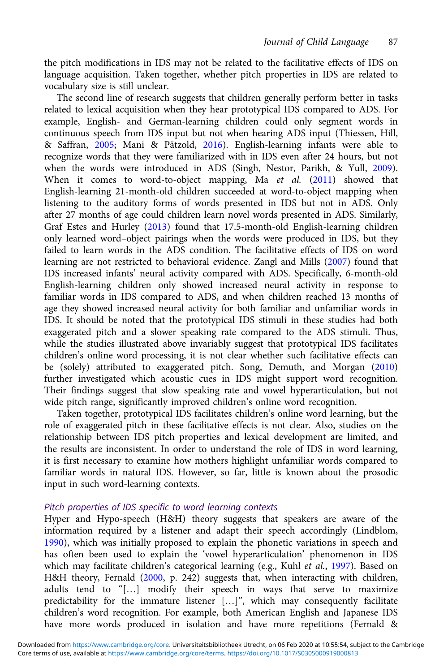the pitch modifications in IDS may not be related to the facilitative effects of IDS on language acquisition. Taken together, whether pitch properties in IDS are related to vocabulary size is still unclear.

The second line of research suggests that children generally perform better in tasks related to lexical acquisition when they hear prototypical IDS compared to ADS. For example, English- and German-learning children could only segment words in continuous speech from IDS input but not when hearing ADS input (Thiessen, Hill, & Saffran, [2005;](#page-26-0) Mani & Pätzold, [2016](#page-25-0)). English-learning infants were able to recognize words that they were familiarized with in IDS even after 24 hours, but not when the words were introduced in ADS (Singh, Nestor, Parikh, & Yull, [2009](#page-26-0)). When it comes to word-to-object mapping, Ma et al. ([2011\)](#page-25-0) showed that English-learning 21-month-old children succeeded at word-to-object mapping when listening to the auditory forms of words presented in IDS but not in ADS. Only after 27 months of age could children learn novel words presented in ADS. Similarly, Graf Estes and Hurley ([2013\)](#page-25-0) found that 17.5-month-old English-learning children only learned word–object pairings when the words were produced in IDS, but they failed to learn words in the ADS condition. The facilitative effects of IDS on word learning are not restricted to behavioral evidence. Zangl and Mills [\(2007\)](#page-26-0) found that IDS increased infants' neural activity compared with ADS. Specifically, 6-month-old English-learning children only showed increased neural activity in response to familiar words in IDS compared to ADS, and when children reached 13 months of age they showed increased neural activity for both familiar and unfamiliar words in IDS. It should be noted that the prototypical IDS stimuli in these studies had both exaggerated pitch and a slower speaking rate compared to the ADS stimuli. Thus, while the studies illustrated above invariably suggest that prototypical IDS facilitates children's online word processing, it is not clear whether such facilitative effects can be (solely) attributed to exaggerated pitch. Song, Demuth, and Morgan ([2010](#page-26-0)) further investigated which acoustic cues in IDS might support word recognition. Their findings suggest that slow speaking rate and vowel hyperarticulation, but not wide pitch range, significantly improved children's online word recognition.

Taken together, prototypical IDS facilitates children's online word learning, but the role of exaggerated pitch in these facilitative effects is not clear. Also, studies on the relationship between IDS pitch properties and lexical development are limited, and the results are inconsistent. In order to understand the role of IDS in word learning, it is first necessary to examine how mothers highlight unfamiliar words compared to familiar words in natural IDS. However, so far, little is known about the prosodic input in such word-learning contexts.

## Pitch properties of IDS specific to word learning contexts

Hyper and Hypo-speech (H&H) theory suggests that speakers are aware of the information required by a listener and adapt their speech accordingly (Lindblom, [1990](#page-25-0)), which was initially proposed to explain the phonetic variations in speech and has often been used to explain the 'vowel hyperarticulation' phenomenon in IDS which may facilitate children's categorical learning (e.g., Kuhl et al., [1997](#page-25-0)). Based on H&H theory, Fernald ([2000,](#page-24-0) p. 242) suggests that, when interacting with children, adults tend to "[...] modify their speech in ways that serve to maximize predictability for the immature listener […]", which may consequently facilitate children's word recognition. For example, both American English and Japanese IDS have more words produced in isolation and have more repetitions (Fernald &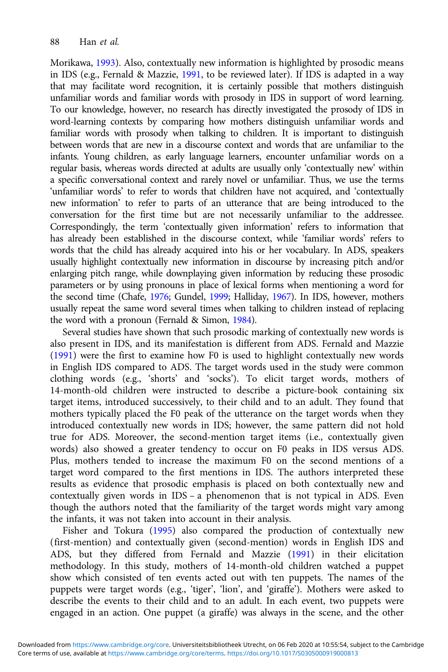Morikawa, [1993\)](#page-24-0). Also, contextually new information is highlighted by prosodic means in IDS (e.g., Fernald & Mazzie, [1991](#page-24-0), to be reviewed later). If IDS is adapted in a way that may facilitate word recognition, it is certainly possible that mothers distinguish unfamiliar words and familiar words with prosody in IDS in support of word learning. To our knowledge, however, no research has directly investigated the prosody of IDS in word-learning contexts by comparing how mothers distinguish unfamiliar words and familiar words with prosody when talking to children. It is important to distinguish between words that are new in a discourse context and words that are unfamiliar to the infants. Young children, as early language learners, encounter unfamiliar words on a regular basis, whereas words directed at adults are usually only 'contextually new' within a specific conversational context and rarely novel or unfamiliar. Thus, we use the terms 'unfamiliar words' to refer to words that children have not acquired, and 'contextually new information' to refer to parts of an utterance that are being introduced to the conversation for the first time but are not necessarily unfamiliar to the addressee. Correspondingly, the term 'contextually given information' refers to information that has already been established in the discourse context, while 'familiar words' refers to words that the child has already acquired into his or her vocabulary. In ADS, speakers usually highlight contextually new information in discourse by increasing pitch and/or enlarging pitch range, while downplaying given information by reducing these prosodic parameters or by using pronouns in place of lexical forms when mentioning a word for the second time (Chafe, [1976](#page-24-0); Gundel, [1999](#page-25-0); Halliday, [1967\)](#page-25-0). In IDS, however, mothers usually repeat the same word several times when talking to children instead of replacing the word with a pronoun (Fernald & Simon, [1984\)](#page-24-0).

Several studies have shown that such prosodic marking of contextually new words is also present in IDS, and its manifestation is different from ADS. Fernald and Mazzie ([1991](#page-24-0)) were the first to examine how F0 is used to highlight contextually new words in English IDS compared to ADS. The target words used in the study were common clothing words (e.g., 'shorts' and 'socks'). To elicit target words, mothers of 14-month-old children were instructed to describe a picture-book containing six target items, introduced successively, to their child and to an adult. They found that mothers typically placed the F0 peak of the utterance on the target words when they introduced contextually new words in IDS; however, the same pattern did not hold true for ADS. Moreover, the second-mention target items (i.e., contextually given words) also showed a greater tendency to occur on F0 peaks in IDS versus ADS. Plus, mothers tended to increase the maximum F0 on the second mentions of a target word compared to the first mentions in IDS. The authors interpreted these results as evidence that prosodic emphasis is placed on both contextually new and contextually given words in IDS – a phenomenon that is not typical in ADS. Even though the authors noted that the familiarity of the target words might vary among the infants, it was not taken into account in their analysis.

Fisher and Tokura ([1995\)](#page-25-0) also compared the production of contextually new (first-mention) and contextually given (second-mention) words in English IDS and ADS, but they differed from Fernald and Mazzie [\(1991\)](#page-24-0) in their elicitation methodology. In this study, mothers of 14-month-old children watched a puppet show which consisted of ten events acted out with ten puppets. The names of the puppets were target words (e.g., 'tiger', 'lion', and 'giraffe'). Mothers were asked to describe the events to their child and to an adult. In each event, two puppets were engaged in an action. One puppet (a giraffe) was always in the scene, and the other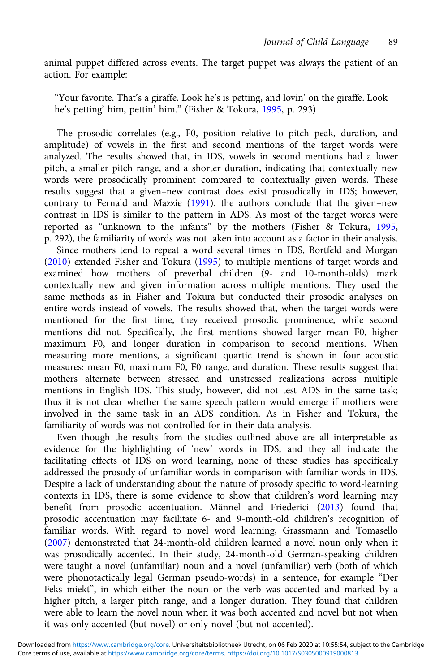animal puppet differed across events. The target puppet was always the patient of an action. For example:

"Your favorite. That's a giraffe. Look he's is petting, and lovin' on the giraffe. Look he's petting' him, pettin' him." (Fisher & Tokura, [1995,](#page-25-0) p. 293)

The prosodic correlates (e.g., F0, position relative to pitch peak, duration, and amplitude) of vowels in the first and second mentions of the target words were analyzed. The results showed that, in IDS, vowels in second mentions had a lower pitch, a smaller pitch range, and a shorter duration, indicating that contextually new words were prosodically prominent compared to contextually given words. These results suggest that a given–new contrast does exist prosodically in IDS; however, contrary to Fernald and Mazzie [\(1991\)](#page-24-0), the authors conclude that the given-new contrast in IDS is similar to the pattern in ADS. As most of the target words were reported as "unknown to the infants" by the mothers (Fisher & Tokura, [1995,](#page-25-0) p. 292), the familiarity of words was not taken into account as a factor in their analysis.

Since mothers tend to repeat a word several times in IDS, Bortfeld and Morgan ([2010\)](#page-24-0) extended Fisher and Tokura ([1995](#page-25-0)) to multiple mentions of target words and examined how mothers of preverbal children (9- and 10-month-olds) mark contextually new and given information across multiple mentions. They used the same methods as in Fisher and Tokura but conducted their prosodic analyses on entire words instead of vowels. The results showed that, when the target words were mentioned for the first time, they received prosodic prominence, while second mentions did not. Specifically, the first mentions showed larger mean F0, higher maximum F0, and longer duration in comparison to second mentions. When measuring more mentions, a significant quartic trend is shown in four acoustic measures: mean F0, maximum F0, F0 range, and duration. These results suggest that mothers alternate between stressed and unstressed realizations across multiple mentions in English IDS. This study, however, did not test ADS in the same task; thus it is not clear whether the same speech pattern would emerge if mothers were involved in the same task in an ADS condition. As in Fisher and Tokura, the familiarity of words was not controlled for in their data analysis.

Even though the results from the studies outlined above are all interpretable as evidence for the highlighting of 'new' words in IDS, and they all indicate the facilitating effects of IDS on word learning, none of these studies has specifically addressed the prosody of unfamiliar words in comparison with familiar words in IDS. Despite a lack of understanding about the nature of prosody specific to word-learning contexts in IDS, there is some evidence to show that children's word learning may benefit from prosodic accentuation. Männel and Friederici [\(2013\)](#page-25-0) found that prosodic accentuation may facilitate 6- and 9-month-old children's recognition of familiar words. With regard to novel word learning, Grassmann and Tomasello ([2007\)](#page-25-0) demonstrated that 24-month-old children learned a novel noun only when it was prosodically accented. In their study, 24-month-old German-speaking children were taught a novel (unfamiliar) noun and a novel (unfamiliar) verb (both of which were phonotactically legal German pseudo-words) in a sentence, for example "Der Feks miekt", in which either the noun or the verb was accented and marked by a higher pitch, a larger pitch range, and a longer duration. They found that children were able to learn the novel noun when it was both accented and novel but not when it was only accented (but novel) or only novel (but not accented).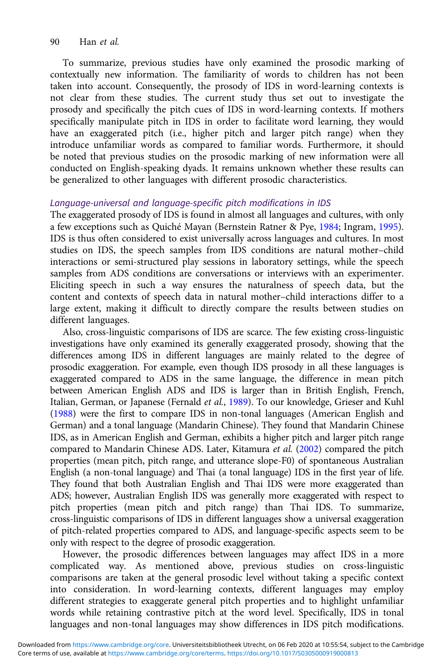To summarize, previous studies have only examined the prosodic marking of contextually new information. The familiarity of words to children has not been taken into account. Consequently, the prosody of IDS in word-learning contexts is not clear from these studies. The current study thus set out to investigate the prosody and specifically the pitch cues of IDS in word-learning contexts. If mothers specifically manipulate pitch in IDS in order to facilitate word learning, they would have an exaggerated pitch (i.e., higher pitch and larger pitch range) when they introduce unfamiliar words as compared to familiar words. Furthermore, it should be noted that previous studies on the prosodic marking of new information were all conducted on English-speaking dyads. It remains unknown whether these results can be generalized to other languages with different prosodic characteristics.

## Language-universal and language-specific pitch modifications in IDS

The exaggerated prosody of IDS is found in almost all languages and cultures, with only a few exceptions such as Quiché Mayan (Bernstein Ratner & Pye, [1984;](#page-24-0) Ingram, [1995\)](#page-25-0). IDS is thus often considered to exist universally across languages and cultures. In most studies on IDS, the speech samples from IDS conditions are natural mother–child interactions or semi-structured play sessions in laboratory settings, while the speech samples from ADS conditions are conversations or interviews with an experimenter. Eliciting speech in such a way ensures the naturalness of speech data, but the content and contexts of speech data in natural mother–child interactions differ to a large extent, making it difficult to directly compare the results between studies on different languages.

Also, cross-linguistic comparisons of IDS are scarce. The few existing cross-linguistic investigations have only examined its generally exaggerated prosody, showing that the differences among IDS in different languages are mainly related to the degree of prosodic exaggeration. For example, even though IDS prosody in all these languages is exaggerated compared to ADS in the same language, the difference in mean pitch between American English ADS and IDS is larger than in British English, French, Italian, German, or Japanese (Fernald et al., [1989](#page-25-0)). To our knowledge, Grieser and Kuhl [\(1988\)](#page-25-0) were the first to compare IDS in non-tonal languages (American English and German) and a tonal language (Mandarin Chinese). They found that Mandarin Chinese IDS, as in American English and German, exhibits a higher pitch and larger pitch range compared to Mandarin Chinese ADS. Later, Kitamura et al. ([2002](#page-25-0)) compared the pitch properties (mean pitch, pitch range, and utterance slope-F0) of spontaneous Australian English (a non-tonal language) and Thai (a tonal language) IDS in the first year of life. They found that both Australian English and Thai IDS were more exaggerated than ADS; however, Australian English IDS was generally more exaggerated with respect to pitch properties (mean pitch and pitch range) than Thai IDS. To summarize, cross-linguistic comparisons of IDS in different languages show a universal exaggeration of pitch-related properties compared to ADS, and language-specific aspects seem to be only with respect to the degree of prosodic exaggeration.

However, the prosodic differences between languages may affect IDS in a more complicated way. As mentioned above, previous studies on cross-linguistic comparisons are taken at the general prosodic level without taking a specific context into consideration. In word-learning contexts, different languages may employ different strategies to exaggerate general pitch properties and to highlight unfamiliar words while retaining contrastive pitch at the word level. Specifically, IDS in tonal languages and non-tonal languages may show differences in IDS pitch modifications.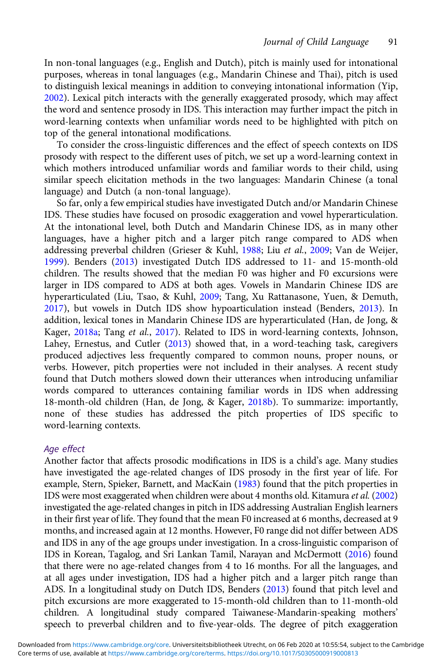In non-tonal languages (e.g., English and Dutch), pitch is mainly used for intonational purposes, whereas in tonal languages (e.g., Mandarin Chinese and Thai), pitch is used to distinguish lexical meanings in addition to conveying intonational information (Yip, [2002](#page-26-0)). Lexical pitch interacts with the generally exaggerated prosody, which may affect the word and sentence prosody in IDS. This interaction may further impact the pitch in word-learning contexts when unfamiliar words need to be highlighted with pitch on top of the general intonational modifications.

To consider the cross-linguistic differences and the effect of speech contexts on IDS prosody with respect to the different uses of pitch, we set up a word-learning context in which mothers introduced unfamiliar words and familiar words to their child, using similar speech elicitation methods in the two languages: Mandarin Chinese (a tonal language) and Dutch (a non-tonal language).

So far, only a few empirical studies have investigated Dutch and/or Mandarin Chinese IDS. These studies have focused on prosodic exaggeration and vowel hyperarticulation. At the intonational level, both Dutch and Mandarin Chinese IDS, as in many other languages, have a higher pitch and a larger pitch range compared to ADS when addressing preverbal children (Grieser & Kuhl, [1988](#page-25-0); Liu et al., [2009;](#page-25-0) Van de Weijer, [1999](#page-26-0)). Benders ([2013](#page-24-0)) investigated Dutch IDS addressed to 11- and 15-month-old children. The results showed that the median F0 was higher and F0 excursions were larger in IDS compared to ADS at both ages. Vowels in Mandarin Chinese IDS are hyperarticulated (Liu, Tsao, & Kuhl, [2009;](#page-25-0) Tang, Xu Rattanasone, Yuen, & Demuth, [2017](#page-26-0)), but vowels in Dutch IDS show hypoarticulation instead (Benders, [2013](#page-24-0)). In addition, lexical tones in Mandarin Chinese IDS are hyperarticulated (Han, de Jong, & Kager, [2018a](#page-25-0); Tang et al., [2017](#page-26-0)). Related to IDS in word-learning contexts, Johnson, Lahey, Ernestus, and Cutler ([2013](#page-25-0)) showed that, in a word-teaching task, caregivers produced adjectives less frequently compared to common nouns, proper nouns, or verbs. However, pitch properties were not included in their analyses. A recent study found that Dutch mothers slowed down their utterances when introducing unfamiliar words compared to utterances containing familiar words in IDS when addressing 18-month-old children (Han, de Jong, & Kager, [2018b](#page-25-0)). To summarize: importantly, none of these studies has addressed the pitch properties of IDS specific to word-learning contexts.

## Age effect

Another factor that affects prosodic modifications in IDS is a child's age. Many studies have investigated the age-related changes of IDS prosody in the first year of life. For example, Stern, Spieker, Barnett, and MacKain ([1983](#page-26-0)) found that the pitch properties in IDS were most exaggerated when children were about 4 months old. Kitamura et al. ([2002](#page-25-0)) investigated the age-related changes in pitch in IDS addressing Australian English learners in their first year of life. They found that the mean F0 increased at 6 months, decreased at 9 months, and increased again at 12 months. However, F0 range did not differ between ADS and IDS in any of the age groups under investigation. In a cross-linguistic comparison of IDS in Korean, Tagalog, and Sri Lankan Tamil, Narayan and McDermott [\(2016](#page-26-0)) found that there were no age-related changes from 4 to 16 months. For all the languages, and at all ages under investigation, IDS had a higher pitch and a larger pitch range than ADS. In a longitudinal study on Dutch IDS, Benders [\(2013\)](#page-24-0) found that pitch level and pitch excursions are more exaggerated to 15-month-old children than to 11-month-old children. A longitudinal study compared Taiwanese-Mandarin-speaking mothers' speech to preverbal children and to five-year-olds. The degree of pitch exaggeration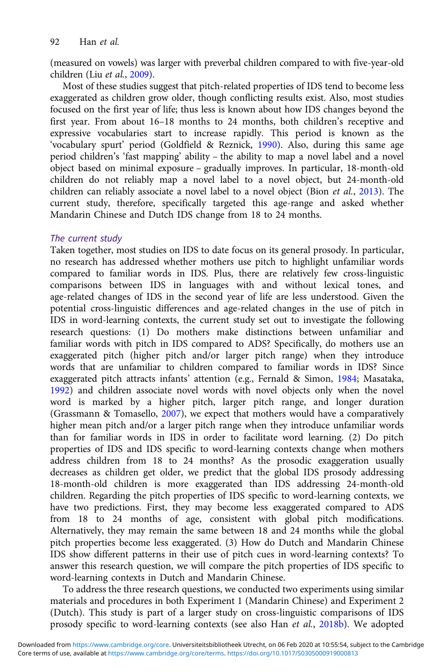(measured on vowels) was larger with preverbal children compared to with five-year-old children (Liu et al., [2009](#page-25-0)).

Most of these studies suggest that pitch-related properties of IDS tend to become less exaggerated as children grow older, though conflicting results exist. Also, most studies focused on the first year of life; thus less is known about how IDS changes beyond the first year. From about 16–18 months to 24 months, both children's receptive and expressive vocabularies start to increase rapidly. This period is known as the 'vocabulary spurt' period (Goldfield & Reznick, [1990](#page-25-0)). Also, during this same age period children's 'fast mapping' ability – the ability to map a novel label and a novel object based on minimal exposure – gradually improves. In particular, 18-month-old children do not reliably map a novel label to a novel object, but 24-month-old children can reliably associate a novel label to a novel object (Bion et al., [2013](#page-24-0)). The current study, therefore, specifically targeted this age-range and asked whether Mandarin Chinese and Dutch IDS change from 18 to 24 months.

# The current study

Taken together, most studies on IDS to date focus on its general prosody. In particular, no research has addressed whether mothers use pitch to highlight unfamiliar words compared to familiar words in IDS. Plus, there are relatively few cross-linguistic comparisons between IDS in languages with and without lexical tones, and age-related changes of IDS in the second year of life are less understood. Given the potential cross-linguistic differences and age-related changes in the use of pitch in IDS in word-learning contexts, the current study set out to investigate the following research questions: (1) Do mothers make distinctions between unfamiliar and familiar words with pitch in IDS compared to ADS? Specifically, do mothers use an exaggerated pitch (higher pitch and/or larger pitch range) when they introduce words that are unfamiliar to children compared to familiar words in IDS? Since exaggerated pitch attracts infants' attention (e.g., Fernald & Simon, [1984](#page-24-0); Masataka, [1992\)](#page-26-0) and children associate novel words with novel objects only when the novel word is marked by a higher pitch, larger pitch range, and longer duration (Grassmann & Tomasello, [2007\)](#page-25-0), we expect that mothers would have a comparatively higher mean pitch and/or a larger pitch range when they introduce unfamiliar words than for familiar words in IDS in order to facilitate word learning. (2) Do pitch properties of IDS and IDS specific to word-learning contexts change when mothers address children from 18 to 24 months? As the prosodic exaggeration usually decreases as children get older, we predict that the global IDS prosody addressing 18-month-old children is more exaggerated than IDS addressing 24-month-old children. Regarding the pitch properties of IDS specific to word-learning contexts, we have two predictions. First, they may become less exaggerated compared to ADS from 18 to 24 months of age, consistent with global pitch modifications. Alternatively, they may remain the same between 18 and 24 months while the global pitch properties become less exaggerated. (3) How do Dutch and Mandarin Chinese IDS show different patterns in their use of pitch cues in word-learning contexts? To answer this research question, we will compare the pitch properties of IDS specific to word-learning contexts in Dutch and Mandarin Chinese.

To address the three research questions, we conducted two experiments using similar materials and procedures in both Experiment 1 (Mandarin Chinese) and Experiment 2 (Dutch). This study is part of a larger study on cross-linguistic comparisons of IDS prosody specific to word-learning contexts (see also Han et al., [2018b\)](#page-25-0). We adopted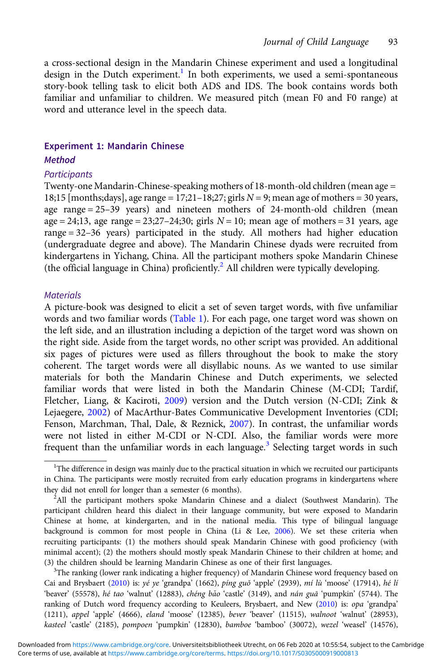a cross-sectional design in the Mandarin Chinese experiment and used a longitudinal design in the Dutch experiment.<sup>1</sup> In both experiments, we used a semi-spontaneous story-book telling task to elicit both ADS and IDS. The book contains words both familiar and unfamiliar to children. We measured pitch (mean F0 and F0 range) at word and utterance level in the speech data.

## Experiment 1: Mandarin Chinese

#### Method

#### **Participants**

Twenty-one Mandarin-Chinese-speaking mothers of 18-month-old children (mean age = 18;15 [months;days], age range = 17;21-18;27; girls  $N = 9$ ; mean age of mothers = 30 years, age range = 25–39 years) and nineteen mothers of 24-month-old children (mean age = 24;13, age range = 23;27-24;30; girls  $N = 10$ ; mean age of mothers = 31 years, age range = 32–36 years) participated in the study. All mothers had higher education (undergraduate degree and above). The Mandarin Chinese dyads were recruited from kindergartens in Yichang, China. All the participant mothers spoke Mandarin Chinese (the official language in China) proficiently.<sup>2</sup> All children were typically developing.

#### **Materials**

A picture-book was designed to elicit a set of seven target words, with five unfamiliar words and two familiar words ([Table 1](#page-9-0)). For each page, one target word was shown on the left side, and an illustration including a depiction of the target word was shown on the right side. Aside from the target words, no other script was provided. An additional six pages of pictures were used as fillers throughout the book to make the story coherent. The target words were all disyllabic nouns. As we wanted to use similar materials for both the Mandarin Chinese and Dutch experiments, we selected familiar words that were listed in both the Mandarin Chinese (M-CDI; Tardif, Fletcher, Liang, & Kaciroti, [2009\)](#page-26-0) version and the Dutch version (N-CDI; Zink & Lejaegere, [2002\)](#page-26-0) of MacArthur-Bates Communicative Development Inventories (CDI; Fenson, Marchman, Thal, Dale, & Reznick, [2007](#page-24-0)). In contrast, the unfamiliar words were not listed in either M-CDI or N-CDI. Also, the familiar words were more frequent than the unfamiliar words in each language.<sup>3</sup> Selecting target words in such

<sup>&</sup>lt;sup>1</sup>The difference in design was mainly due to the practical situation in which we recruited our participants in China. The participants were mostly recruited from early education programs in kindergartens where they did not enroll for longer than a semester (6 months).

All the participant mothers spoke Mandarin Chinese and a dialect (Southwest Mandarin). The participant children heard this dialect in their language community, but were exposed to Mandarin Chinese at home, at kindergarten, and in the national media. This type of bilingual language background is common for most people in China (Li & Lee, [2006](#page-25-0)). We set these criteria when recruiting participants: (1) the mothers should speak Mandarin Chinese with good proficiency (with minimal accent); (2) the mothers should mostly speak Mandarin Chinese to their children at home; and (3) the children should be learning Mandarin Chinese as one of their first languages. <sup>3</sup>

 ${}^{3}$ The ranking (lower rank indicating a higher frequency) of Mandarin Chinese word frequency based on Cai and Brysbaert ([2010](#page-24-0)) is: yé ye 'grandpa' (1662), píng guo 'apple' (2939), mí lù 'moose' (17914), hé lí 'beaver' (55578), hé tao 'walnut' (12883), chéng bǎo 'castle' (3149), and nán guā 'pumpkin' (5744). The ranking of Dutch word frequency according to Keuleers, Brysbaert, and New ([2010\)](#page-25-0) is: opa 'grandpa' (1211), appel 'apple' (4666), eland 'moose' (12385), bever 'beaver' (11515), walnoot 'walnut' (28953), kasteel 'castle' (2185), pompoen 'pumpkin' (12830), bamboe 'bamboo' (30072), wezel 'weasel' (14576),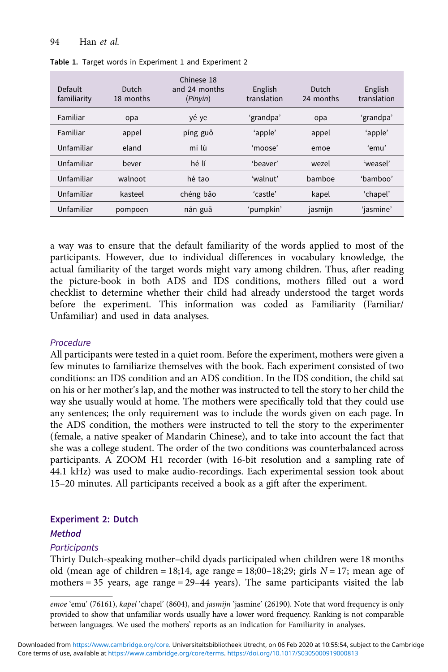| Default<br>familiarity | Dutch<br>18 months | Chinese 18<br>and 24 months<br>(Pinyin) | English<br>translation | Dutch<br>24 months | English<br>translation |
|------------------------|--------------------|-----------------------------------------|------------------------|--------------------|------------------------|
| Familiar               | opa                | yé ye                                   | 'grandpa'              | opa                | 'grandpa'              |
| Familiar               | appel              | píng guǒ                                | 'apple'                | appel              | 'apple'                |
| Unfamiliar             | eland              | mí lù                                   | 'moose'                | emoe               | 'emu'                  |
| Unfamiliar             | bever              | hé lí                                   | 'beaver'               | wezel              | 'weasel'               |
| Unfamiliar             | walnoot            | hé tao                                  | 'walnut'               | bamboe             | 'bamboo'               |
| Unfamiliar             | kasteel            | chéng bảo                               | 'castle'               | kapel              | 'chapel'               |
| Unfamiliar             | pompoen            | nán guā                                 | 'pumpkin'              | jasmijn            | 'jasmine'              |

<span id="page-9-0"></span>

a way was to ensure that the default familiarity of the words applied to most of the participants. However, due to individual differences in vocabulary knowledge, the actual familiarity of the target words might vary among children. Thus, after reading the picture-book in both ADS and IDS conditions, mothers filled out a word checklist to determine whether their child had already understood the target words before the experiment. This information was coded as Familiarity (Familiar/ Unfamiliar) and used in data analyses.

## Procedure

All participants were tested in a quiet room. Before the experiment, mothers were given a few minutes to familiarize themselves with the book. Each experiment consisted of two conditions: an IDS condition and an ADS condition. In the IDS condition, the child sat on his or her mother's lap, and the mother was instructed to tell the story to her child the way she usually would at home. The mothers were specifically told that they could use any sentences; the only requirement was to include the words given on each page. In the ADS condition, the mothers were instructed to tell the story to the experimenter (female, a native speaker of Mandarin Chinese), and to take into account the fact that she was a college student. The order of the two conditions was counterbalanced across participants. A ZOOM H1 recorder (with 16-bit resolution and a sampling rate of 44.1 kHz) was used to make audio-recordings. Each experimental session took about 15–20 minutes. All participants received a book as a gift after the experiment.

## Experiment 2: Dutch

## Method

## **Participants**

Thirty Dutch-speaking mother–child dyads participated when children were 18 months old (mean age of children = 18;14, age range = 18;00–18;29; girls  $N = 17$ ; mean age of mothers  $= 35$  years, age range  $= 29-44$  years). The same participants visited the lab

emoe 'emu' (76161), kapel 'chapel' (8604), and jasmijn 'jasmine' (26190). Note that word frequency is only provided to show that unfamiliar words usually have a lower word frequency. Ranking is not comparable between languages. We used the mothers' reports as an indication for Familiarity in analyses.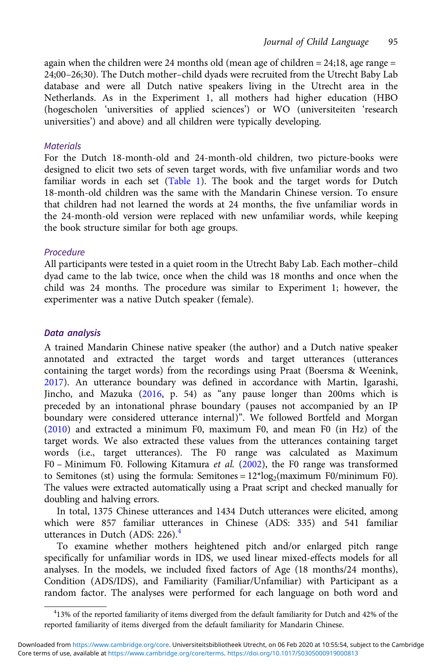again when the children were 24 months old (mean age of children  $= 24;18$ , age range  $=$ 24;00–26;30). The Dutch mother–child dyads were recruited from the Utrecht Baby Lab database and were all Dutch native speakers living in the Utrecht area in the Netherlands. As in the Experiment 1, all mothers had higher education (HBO (hogescholen 'universities of applied sciences') or WO (universiteiten 'research universities') and above) and all children were typically developing.

## **Materials**

For the Dutch 18-month-old and 24-month-old children, two picture-books were designed to elicit two sets of seven target words, with five unfamiliar words and two familiar words in each set ([Table 1](#page-9-0)). The book and the target words for Dutch 18-month-old children was the same with the Mandarin Chinese version. To ensure that children had not learned the words at 24 months, the five unfamiliar words in the 24-month-old version were replaced with new unfamiliar words, while keeping the book structure similar for both age groups.

## Procedure

All participants were tested in a quiet room in the Utrecht Baby Lab. Each mother–child dyad came to the lab twice, once when the child was 18 months and once when the child was 24 months. The procedure was similar to Experiment 1; however, the experimenter was a native Dutch speaker (female).

#### Data analysis

A trained Mandarin Chinese native speaker (the author) and a Dutch native speaker annotated and extracted the target words and target utterances (utterances containing the target words) from the recordings using Praat (Boersma & Weenink, [2017](#page-24-0)). An utterance boundary was defined in accordance with Martin, Igarashi, Jincho, and Mazuka ([2016,](#page-26-0) p. 54) as "any pause longer than 200ms which is preceded by an intonational phrase boundary (pauses not accompanied by an IP boundary were considered utterance internal)". We followed Bortfeld and Morgan ([2010\)](#page-24-0) and extracted a minimum F0, maximum F0, and mean F0 (in Hz) of the target words. We also extracted these values from the utterances containing target words (i.e., target utterances). The F0 range was calculated as Maximum F0 – Minimum F0. Following Kitamura et al. [\(2002\)](#page-25-0), the F0 range was transformed to Semitones (st) using the formula: Semitones =  $12$ <sup>\*</sup>log<sub>2</sub>(maximum F0/minimum F0). The values were extracted automatically using a Praat script and checked manually for doubling and halving errors.

In total, 1375 Chinese utterances and 1434 Dutch utterances were elicited, among which were 857 familiar utterances in Chinese (ADS: 335) and 541 familiar utterances in Dutch (ADS:  $226$ ).<sup>4</sup>

To examine whether mothers heightened pitch and/or enlarged pitch range specifically for unfamiliar words in IDS, we used linear mixed-effects models for all analyses. In the models, we included fixed factors of Age (18 months/24 months), Condition (ADS/IDS), and Familiarity (Familiar/Unfamiliar) with Participant as a random factor. The analyses were performed for each language on both word and

<sup>4</sup> 13% of the reported familiarity of items diverged from the default familiarity for Dutch and 42% of the reported familiarity of items diverged from the default familiarity for Mandarin Chinese.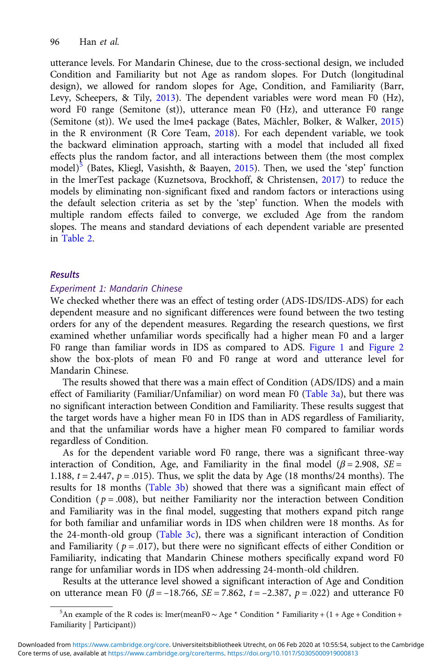utterance levels. For Mandarin Chinese, due to the cross-sectional design, we included Condition and Familiarity but not Age as random slopes. For Dutch (longitudinal design), we allowed for random slopes for Age, Condition, and Familiarity (Barr, Levy, Scheepers, & Tily, [2013\)](#page-24-0). The dependent variables were word mean F0 (Hz), word F0 range (Semitone (st)), utterance mean F0 (Hz), and utterance F0 range (Semitone (st)). We used the lme4 package (Bates, Mächler, Bolker, & Walker, [2015\)](#page-24-0) in the R environment (R Core Team, [2018](#page-26-0)). For each dependent variable, we took the backward elimination approach, starting with a model that included all fixed effects plus the random factor, and all interactions between them (the most complex model)<sup>5</sup> (Bates, Kliegl, Vasishth, & Baayen, [2015](#page-24-0)). Then, we used the 'step' function in the lmerTest package (Kuznetsova, Brockhoff, & Christensen, [2017](#page-25-0)) to reduce the models by eliminating non-significant fixed and random factors or interactions using the default selection criteria as set by the 'step' function. When the models with multiple random effects failed to converge, we excluded Age from the random slopes. The means and standard deviations of each dependent variable are presented in [Table 2.](#page-12-0)

## Results

## Experiment 1: Mandarin Chinese

We checked whether there was an effect of testing order (ADS-IDS/IDS-ADS) for each dependent measure and no significant differences were found between the two testing orders for any of the dependent measures. Regarding the research questions, we first examined whether unfamiliar words specifically had a higher mean F0 and a larger F0 range than familiar words in IDS as compared to ADS. [Figure 1](#page-13-0) and [Figure 2](#page-13-0) show the box-plots of mean F0 and F0 range at word and utterance level for Mandarin Chinese.

The results showed that there was a main effect of Condition (ADS/IDS) and a main effect of Familiarity (Familiar/Unfamiliar) on word mean F0 ([Table 3a](#page-14-0)), but there was no significant interaction between Condition and Familiarity. These results suggest that the target words have a higher mean F0 in IDS than in ADS regardless of Familiarity, and that the unfamiliar words have a higher mean F0 compared to familiar words regardless of Condition.

As for the dependent variable word F0 range, there was a significant three-way interaction of Condition, Age, and Familiarity in the final model ( $\beta$  = 2.908, SE = 1.188,  $t = 2.447$ ,  $p = .015$ ). Thus, we split the data by Age (18 months/24 months). The results for 18 months ([Table 3b\)](#page-14-0) showed that there was a significant main effect of Condition ( $p = .008$ ), but neither Familiarity nor the interaction between Condition and Familiarity was in the final model, suggesting that mothers expand pitch range for both familiar and unfamiliar words in IDS when children were 18 months. As for the 24-month-old group [\(Table 3c\)](#page-14-0), there was a significant interaction of Condition and Familiarity ( $p = .017$ ), but there were no significant effects of either Condition or Familiarity, indicating that Mandarin Chinese mothers specifically expand word F0 range for unfamiliar words in IDS when addressing 24-month-old children.

Results at the utterance level showed a significant interaction of Age and Condition on utterance mean F0 ( $β = -18.766$ ,  $SE = 7.862$ ,  $t = -2.387$ ,  $p = .022$ ) and utterance F0

<sup>5</sup> An example of the R codes is: lmer(meanF0 ∼ Age \* Condition \* Familiarity + (1 + Age + Condition + Familiarity | Participant))

Core terms of use, available at [https://www.cambridge.org/core/terms.](https://www.cambridge.org/core/terms) <https://doi.org/10.1017/S0305000919000813> Downloaded from [https://www.cambridge.org/core.](https://www.cambridge.org/core) Universiteitsbibliotheek Utrecht, on 06 Feb 2020 at 10:55:54, subject to the Cambridge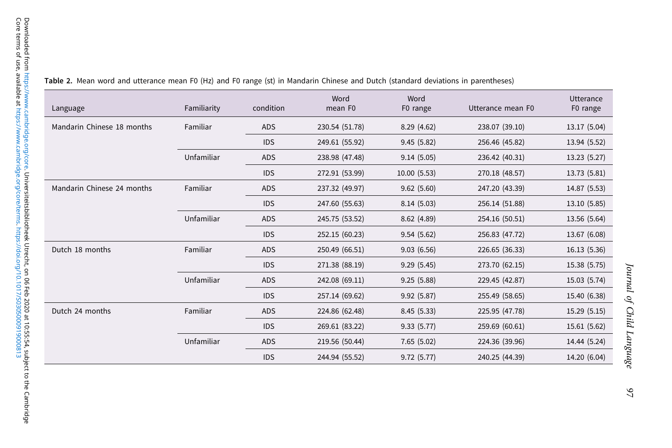| Language                   | Familiarity | condition  | Word<br>mean F0 | Word<br>F0 range | Utterance mean F0 | Utterance<br>F0 range |
|----------------------------|-------------|------------|-----------------|------------------|-------------------|-----------------------|
| Mandarin Chinese 18 months | Familiar    | <b>ADS</b> | 230.54 (51.78)  | 8.29(4.62)       | 238.07 (39.10)    | 13.17 (5.04)          |
|                            |             | <b>IDS</b> | 249.61 (55.92)  | 9.45(5.82)       | 256.46 (45.82)    | 13.94 (5.52)          |
|                            | Unfamiliar  | <b>ADS</b> | 238.98 (47.48)  | 9.14(5.05)       | 236.42 (40.31)    | 13.23 (5.27)          |
|                            |             | <b>IDS</b> | 272.91 (53.99)  | 10.00(5.53)      | 270.18 (48.57)    | 13.73 (5.81)          |
| Mandarin Chinese 24 months | Familiar    | <b>ADS</b> | 237.32 (49.97)  | 9.62(5.60)       | 247.20 (43.39)    | 14.87 (5.53)          |
|                            |             | <b>IDS</b> | 247.60 (55.63)  | 8.14(5.03)       | 256.14 (51.88)    | 13.10 (5.85)          |
|                            | Unfamiliar  | <b>ADS</b> | 245.75 (53.52)  | 8.62(4.89)       | 254.16 (50.51)    | 13.56 (5.64)          |
|                            |             | <b>IDS</b> | 252.15 (60.23)  | 9.54(5.62)       | 256.83 (47.72)    | 13.67 (6.08)          |
| Dutch 18 months            | Familiar    | <b>ADS</b> | 250.49 (66.51)  | 9.03(6.56)       | 226.65 (36.33)    | 16.13 (5.36)          |
|                            |             | <b>IDS</b> | 271.38 (88.19)  | 9.29(5.45)       | 273.70 (62.15)    | 15.38 (5.75)          |
|                            | Unfamiliar  | <b>ADS</b> | 242.08 (69.11)  | 9.25(5.88)       | 229.45 (42.87)    | 15.03 (5.74)          |
|                            |             | <b>IDS</b> | 257.14 (69.62)  | 9.92(5.87)       | 255.49 (58.65)    | 15.40 (6.38)          |
| Dutch 24 months            | Familiar    | <b>ADS</b> | 224.86 (62.48)  | 8.45(5.33)       | 225.95 (47.78)    | 15.29(5.15)           |
|                            |             | <b>IDS</b> | 269.61 (83.22)  | 9.33(5.77)       | 259.69 (60.61)    | 15.61 (5.62)          |
|                            | Unfamiliar  | <b>ADS</b> | 219.56 (50.44)  | 7.65(5.02)       | 224.36 (39.96)    | 14.44 (5.24)          |
|                            |             | <b>IDS</b> | 244.94 (55.52)  | 9.72(5.77)       | 240.25 (44.39)    | 14.20 (6.04)          |

<span id="page-12-0"></span>Table 2. Mean word and utterance mean F0 (Hz) and F0 range (st) in Mandarin Chinese and Dutch (standard deviations in parentheses)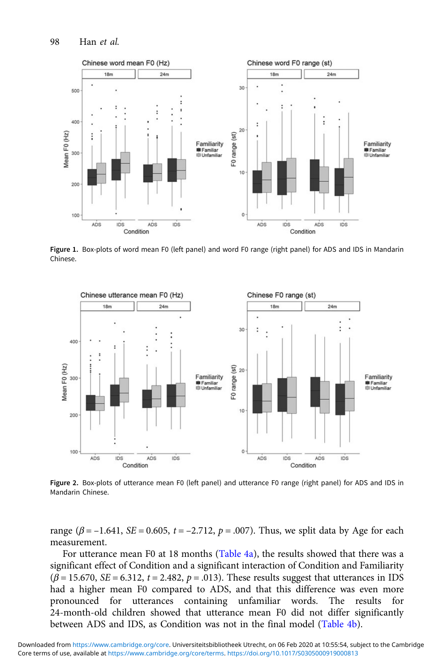<span id="page-13-0"></span>

Figure 1. Box-plots of word mean F0 (left panel) and word F0 range (right panel) for ADS and IDS in Mandarin Chinese.



Figure 2. Box-plots of utterance mean F0 (left panel) and utterance F0 range (right panel) for ADS and IDS in Mandarin Chinese.

range (β = -1.641, SE = 0.605, t = -2.712, p = .007). Thus, we split data by Age for each measurement.

For utterance mean F0 at 18 months [\(Table 4a\)](#page-15-0), the results showed that there was a significant effect of Condition and a significant interaction of Condition and Familiarity  $(\beta = 15.670, SE = 6.312, t = 2.482, p = .013)$ . These results suggest that utterances in IDS had a higher mean F0 compared to ADS, and that this difference was even more pronounced for utterances containing unfamiliar words. The results for 24-month-old children showed that utterance mean F0 did not differ significantly between ADS and IDS, as Condition was not in the final model [\(Table 4b](#page-15-0)).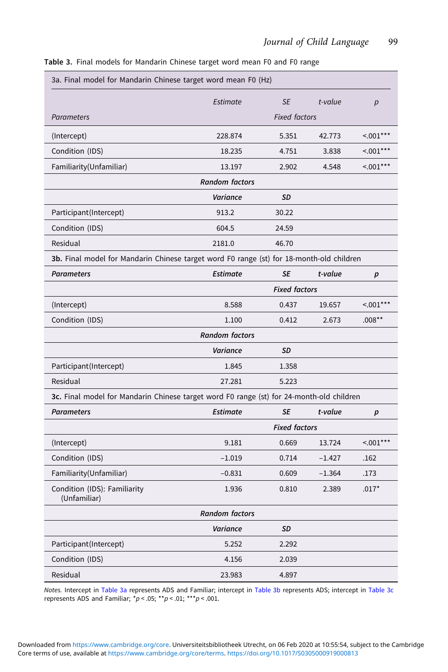<span id="page-14-0"></span>

| 3a. Final model for Mandarin Chinese target word mean F0 (Hz)                            |                       |                      |          |                |
|------------------------------------------------------------------------------------------|-----------------------|----------------------|----------|----------------|
|                                                                                          | Estimate              | <b>SE</b>            | t-value  | $\overline{p}$ |
| Parameters                                                                               |                       | <b>Fixed factors</b> |          |                |
| (Intercept)                                                                              | 228.874               | 5.351                | 42.773   | $18001***$     |
| Condition (IDS)                                                                          | 18.235                | 4.751                | 3.838    | $< 0.01$ ***   |
| Familiarity (Unfamiliar)                                                                 | 13.197                | 2.902                | 4.548    | $15001***$     |
|                                                                                          | <b>Random factors</b> |                      |          |                |
|                                                                                          | Variance              | SD                   |          |                |
| Participant(Intercept)                                                                   | 913.2                 | 30.22                |          |                |
| Condition (IDS)                                                                          | 604.5                 | 24.59                |          |                |
| Residual                                                                                 | 2181.0                | 46.70                |          |                |
| 3b. Final model for Mandarin Chinese target word F0 range (st) for 18-month-old children |                       |                      |          |                |
| <b>Parameters</b>                                                                        | Estimate              | <b>SE</b>            | t-value  | p              |
|                                                                                          |                       | <b>Fixed factors</b> |          |                |
| (Intercept)                                                                              | 8.588                 | 0.437                | 19.657   | $15001***$     |
| Condition (IDS)                                                                          | 1.100                 | 0.412                | 2.673    | $.008***$      |
|                                                                                          | <b>Random factors</b> |                      |          |                |
|                                                                                          | Variance              | <b>SD</b>            |          |                |
| Participant (Intercept)                                                                  | 1.845                 | 1.358                |          |                |
| Residual                                                                                 | 27.281                | 5.223                |          |                |
| 3c. Final model for Mandarin Chinese target word F0 range (st) for 24-month-old children |                       |                      |          |                |
| <b>Parameters</b>                                                                        | Estimate              | <b>SE</b>            | t-value  | р              |
|                                                                                          |                       | <b>Fixed factors</b> |          |                |
| (Intercept)                                                                              | 9.181                 | 0.669                | 13.724   | $< 0.01***$    |
| Condition (IDS)                                                                          | $-1.019$              | 0.714                | $-1.427$ | .162           |
| Familiarity (Unfamiliar)                                                                 | $-0.831$              | 0.609                | $-1.364$ | .173           |
| Condition (IDS): Familiarity<br>(Unfamiliar)                                             | 1.936                 | 0.810                | 2.389    | $.017*$        |
|                                                                                          | <b>Random factors</b> |                      |          |                |
|                                                                                          | Variance              | SD                   |          |                |
| Participant(Intercept)                                                                   | 5.252                 | 2.292                |          |                |
| Condition (IDS)                                                                          | 4.156                 | 2.039                |          |                |
| Residual                                                                                 | 23.983                | 4.897                |          |                |

Notes. Intercept in Table 3a represents ADS and Familiar; intercept in Table 3b represents ADS; intercept in Table 3c represents ADS and Familiar;  $\tau p < .05$ ;  $\tau \tau p < .01$ ;  $\tau \tau p < .001$ .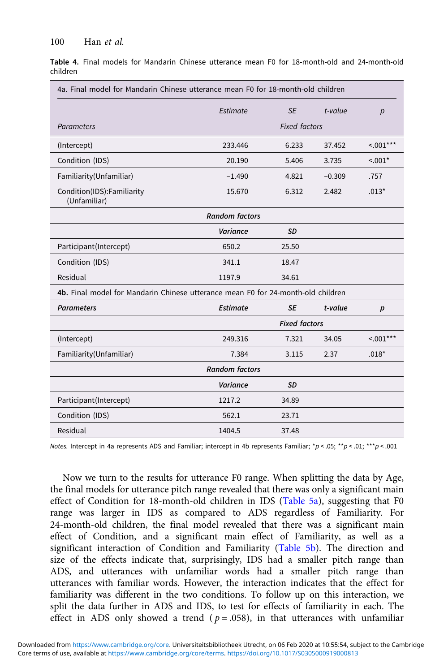<span id="page-15-0"></span>Table 4. Final models for Mandarin Chinese utterance mean F0 for 18-month-old and 24-month-old children

| 4a. Final model for Mandarin Chinese utterance mean F0 for 18-month-old children |                       |                      |          |             |  |  |
|----------------------------------------------------------------------------------|-----------------------|----------------------|----------|-------------|--|--|
|                                                                                  | Estimate              | <b>SE</b>            | t-value  | p           |  |  |
| Parameters                                                                       | <b>Fixed factors</b>  |                      |          |             |  |  |
| (Intercept)                                                                      | 233.446               | 6.233                | 37.452   | $15001***$  |  |  |
| Condition (IDS)                                                                  | 20.190                | 5.406                | 3.735    | $< 0.01*$   |  |  |
| Familiarity(Unfamiliar)                                                          | $-1.490$              | 4.821                | $-0.309$ | .757        |  |  |
| Condition(IDS):Familiarity<br>(Unfamiliar)                                       | 15.670                | 6.312                | 2.482    | $.013*$     |  |  |
|                                                                                  | <b>Random factors</b> |                      |          |             |  |  |
|                                                                                  | Variance              | SD                   |          |             |  |  |
| Participant(Intercept)                                                           | 650.2                 | 25.50                |          |             |  |  |
| Condition (IDS)                                                                  | 341.1                 | 18.47                |          |             |  |  |
| Residual                                                                         | 1197.9                | 34.61                |          |             |  |  |
| 4b. Final model for Mandarin Chinese utterance mean F0 for 24-month-old children |                       |                      |          |             |  |  |
| <b>Parameters</b>                                                                | <b>Estimate</b>       | SF                   | t-value  | p           |  |  |
|                                                                                  |                       | <b>Fixed factors</b> |          |             |  |  |
| (Intercept)                                                                      | 249.316               | 7.321                | 34.05    | $< 0.01***$ |  |  |
| Familiarity(Unfamiliar)                                                          | 7.384                 | 3.115                | 2.37     | $.018*$     |  |  |
|                                                                                  | <b>Random factors</b> |                      |          |             |  |  |
|                                                                                  | Variance              | <b>SD</b>            |          |             |  |  |
| Participant(Intercept)                                                           | 1217.2                | 34.89                |          |             |  |  |
| Condition (IDS)                                                                  | 562.1                 | 23.71                |          |             |  |  |
| Residual                                                                         | 1404.5                | 37.48                |          |             |  |  |

Notes. Intercept in 4a represents ADS and Familiar; intercept in 4b represents Familiar;  $*p < .05; **p < .01; **p < .001$ 

Now we turn to the results for utterance F0 range. When splitting the data by Age, the final models for utterance pitch range revealed that there was only a significant main effect of Condition for 18-month-old children in IDS ([Table 5a](#page-16-0)), suggesting that F0 range was larger in IDS as compared to ADS regardless of Familiarity. For 24-month-old children, the final model revealed that there was a significant main effect of Condition, and a significant main effect of Familiarity, as well as a significant interaction of Condition and Familiarity ([Table 5b\)](#page-16-0). The direction and size of the effects indicate that, surprisingly, IDS had a smaller pitch range than ADS, and utterances with unfamiliar words had a smaller pitch range than utterances with familiar words. However, the interaction indicates that the effect for familiarity was different in the two conditions. To follow up on this interaction, we split the data further in ADS and IDS, to test for effects of familiarity in each. The effect in ADS only showed a trend ( $p = .058$ ), in that utterances with unfamiliar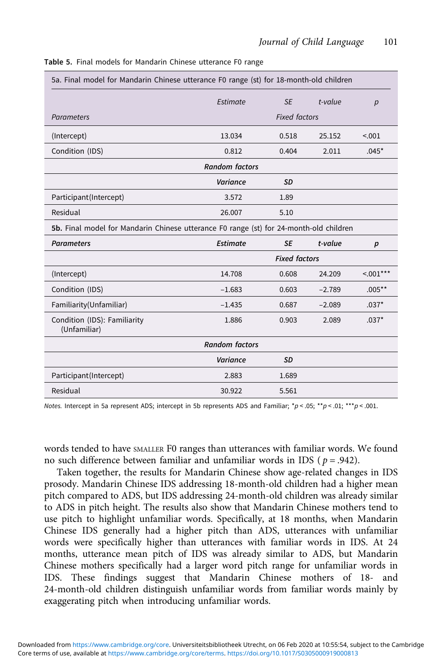<span id="page-16-0"></span>

| Table 5. Final models for Mandarin Chinese utterance F0 range |  |
|---------------------------------------------------------------|--|
|---------------------------------------------------------------|--|

| 5a. Final model for Mandarin Chinese utterance F0 range (st) for 18-month-old children |                       |                      |          |            |  |  |  |  |
|----------------------------------------------------------------------------------------|-----------------------|----------------------|----------|------------|--|--|--|--|
|                                                                                        | Estimate              | <b>SE</b>            | t-value  | p          |  |  |  |  |
| Parameters                                                                             |                       | <b>Fixed factors</b> |          |            |  |  |  |  |
| (Intercept)                                                                            | 13.034                | 0.518                | 25.152   | < .001     |  |  |  |  |
| Condition (IDS)                                                                        | 0.812                 | 0.404                | 2.011    | $.045*$    |  |  |  |  |
|                                                                                        | <b>Random factors</b> |                      |          |            |  |  |  |  |
|                                                                                        | Variance              | <b>SD</b>            |          |            |  |  |  |  |
| Participant(Intercept)                                                                 | 3.572                 | 1.89                 |          |            |  |  |  |  |
| Residual                                                                               | 26.007                | 5.10                 |          |            |  |  |  |  |
| 5b. Final model for Mandarin Chinese utterance F0 range (st) for 24-month-old children |                       |                      |          |            |  |  |  |  |
|                                                                                        |                       |                      |          |            |  |  |  |  |
| <b>Parameters</b>                                                                      | Estimate              | <b>SE</b>            | t-value  | p          |  |  |  |  |
|                                                                                        |                       | <b>Fixed factors</b> |          |            |  |  |  |  |
| (Intercept)                                                                            | 14.708                | 0.608                | 24.209   | $15001***$ |  |  |  |  |
| Condition (IDS)                                                                        | $-1.683$              | 0.603                | $-2.789$ | $.005***$  |  |  |  |  |
| Familiarity (Unfamiliar)                                                               | $-1.435$              | 0.687                | $-2.089$ | $.037*$    |  |  |  |  |
| Condition (IDS): Familiarity<br>(Unfamiliar)                                           | 1.886                 | 0.903                | 2.089    | $.037*$    |  |  |  |  |
|                                                                                        | <b>Random factors</b> |                      |          |            |  |  |  |  |
|                                                                                        | Variance              | SD                   |          |            |  |  |  |  |
| Participant(Intercept)                                                                 | 2.883                 | 1.689                |          |            |  |  |  |  |

Notes. Intercept in 5a represent ADS; intercept in 5b represents ADS and Familiar;  $*p < .05; **p < .01; **p < .001$ .

words tended to have SMALLER F0 ranges than utterances with familiar words. We found no such difference between familiar and unfamiliar words in IDS ( $p = .942$ ).

Taken together, the results for Mandarin Chinese show age-related changes in IDS prosody. Mandarin Chinese IDS addressing 18-month-old children had a higher mean pitch compared to ADS, but IDS addressing 24-month-old children was already similar to ADS in pitch height. The results also show that Mandarin Chinese mothers tend to use pitch to highlight unfamiliar words. Specifically, at 18 months, when Mandarin Chinese IDS generally had a higher pitch than ADS, utterances with unfamiliar words were specifically higher than utterances with familiar words in IDS. At 24 months, utterance mean pitch of IDS was already similar to ADS, but Mandarin Chinese mothers specifically had a larger word pitch range for unfamiliar words in IDS. These findings suggest that Mandarin Chinese mothers of 18- and 24-month-old children distinguish unfamiliar words from familiar words mainly by exaggerating pitch when introducing unfamiliar words.

Core terms of use, available at [https://www.cambridge.org/core/terms.](https://www.cambridge.org/core/terms) <https://doi.org/10.1017/S0305000919000813> Downloaded from [https://www.cambridge.org/core.](https://www.cambridge.org/core) Universiteitsbibliotheek Utrecht, on 06 Feb 2020 at 10:55:54, subject to the Cambridge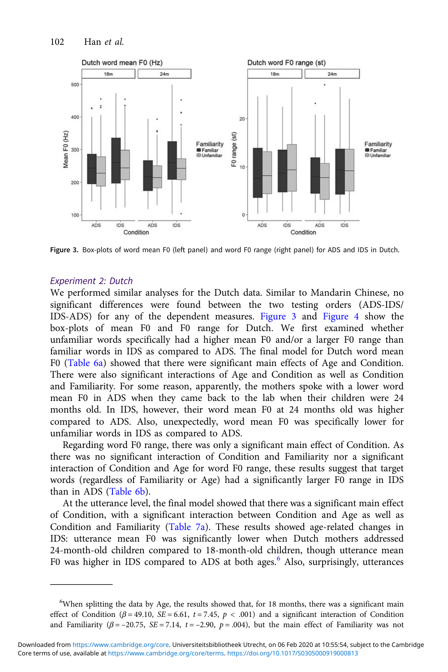

Figure 3. Box-plots of word mean F0 (left panel) and word F0 range (right panel) for ADS and IDS in Dutch.

#### Experiment 2: Dutch

We performed similar analyses for the Dutch data. Similar to Mandarin Chinese, no significant differences were found between the two testing orders (ADS-IDS/ IDS-ADS) for any of the dependent measures. Figure 3 and [Figure 4](#page-18-0) show the box-plots of mean F0 and F0 range for Dutch. We first examined whether unfamiliar words specifically had a higher mean F0 and/or a larger F0 range than familiar words in IDS as compared to ADS. The final model for Dutch word mean F0 ([Table 6a](#page-19-0)) showed that there were significant main effects of Age and Condition. There were also significant interactions of Age and Condition as well as Condition and Familiarity. For some reason, apparently, the mothers spoke with a lower word mean F0 in ADS when they came back to the lab when their children were 24 months old. In IDS, however, their word mean F0 at 24 months old was higher compared to ADS. Also, unexpectedly, word mean F0 was specifically lower for unfamiliar words in IDS as compared to ADS.

Regarding word F0 range, there was only a significant main effect of Condition. As there was no significant interaction of Condition and Familiarity nor a significant interaction of Condition and Age for word F0 range, these results suggest that target words (regardless of Familiarity or Age) had a significantly larger F0 range in IDS than in ADS [\(Table 6b](#page-19-0)).

At the utterance level, the final model showed that there was a significant main effect of Condition, with a significant interaction between Condition and Age as well as Condition and Familiarity [\(Table 7a](#page-20-0)). These results showed age-related changes in IDS: utterance mean F0 was significantly lower when Dutch mothers addressed 24-month-old children compared to 18-month-old children, though utterance mean F0 was higher in IDS compared to ADS at both ages.<sup>6</sup> Also, surprisingly, utterances

<sup>&</sup>lt;sup>6</sup>When splitting the data by Age, the results showed that, for 18 months, there was a significant main effect of Condition ( $\beta$  = 49.10, SE = 6.61, t = 7.45, p < .001) and a significant interaction of Condition and Familiarity ( $\beta$  = –20.75, SE = 7.14, t = –2.90, p = .004), but the main effect of Familiarity was not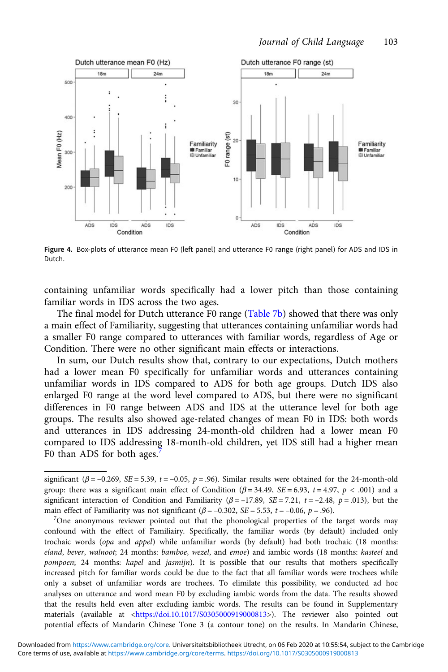<span id="page-18-0"></span>

Figure 4. Box-plots of utterance mean F0 (left panel) and utterance F0 range (right panel) for ADS and IDS in Dutch.

containing unfamiliar words specifically had a lower pitch than those containing familiar words in IDS across the two ages.

The final model for Dutch utterance F0 range [\(Table 7b\)](#page-20-0) showed that there was only a main effect of Familiarity, suggesting that utterances containing unfamiliar words had a smaller F0 range compared to utterances with familiar words, regardless of Age or Condition. There were no other significant main effects or interactions.

In sum, our Dutch results show that, contrary to our expectations, Dutch mothers had a lower mean F0 specifically for unfamiliar words and utterances containing unfamiliar words in IDS compared to ADS for both age groups. Dutch IDS also enlarged F0 range at the word level compared to ADS, but there were no significant differences in F0 range between ADS and IDS at the utterance level for both age groups. The results also showed age-related changes of mean F0 in IDS: both words and utterances in IDS addressing 24-month-old children had a lower mean F0 compared to IDS addressing 18-month-old children, yet IDS still had a higher mean F0 than ADS for both ages.<sup>7</sup>

significant ( $\beta$  = –0.269, SE = 5.39, t = –0.05, p = .96). Similar results were obtained for the 24-month-old group: there was a significant main effect of Condition ( $\beta$  = 34.49, SE = 6.93, t = 4.97, p < .001) and a significant interaction of Condition and Familiarity ( $\beta$  = -17.89, SE = 7.21, t = -2.48, p = .013), but the main effect of Familiarity was not significant ( $\beta$  = -0.302, SE = 5.53, t = -0.06, p = .96).

<sup>&</sup>lt;sup>7</sup>One anonymous reviewer pointed out that the phonological properties of the target words may confound with the effect of Familiairy. Specifically, the familiar words (by default) included only trochaic words (opa and appel) while unfamiliar words (by default) had both trochaic (18 months: eland, bever, walnoot; 24 months: bamboe, wezel, and emoe) and iambic words (18 months: kasteel and pompoen; 24 months: kapel and jasmijn). It is possible that our results that mothers specifically increased pitch for familiar words could be due to the fact that all familiar words were trochees while only a subset of unfamiliar words are trochees. To elimilate this possibility, we conducted ad hoc analyses on utterance and word mean F0 by excluding iambic words from the data. The results showed that the results held even after excluding iambic words. The results can be found in Supplementary materials (available at [<https://doi.10.1017/S0305000919000813>](https://doi.10.1017/S0305000919000813)). The reviewer also pointed out potential effects of Mandarin Chinese Tone 3 (a contour tone) on the results. In Mandarin Chinese,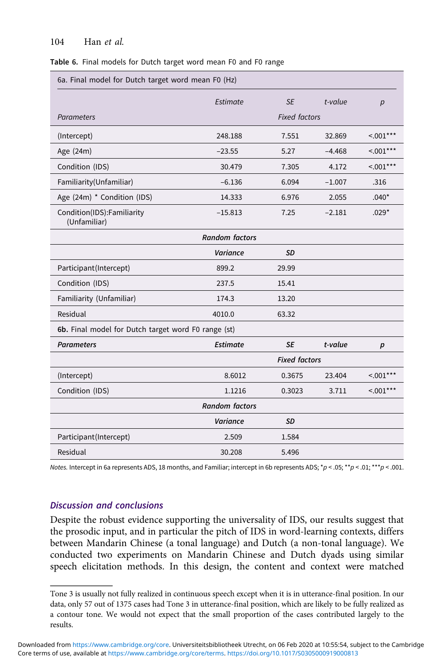## <span id="page-19-0"></span>104 Han et al.

#### Table 6. Final models for Dutch target word mean F0 and F0 range

| 6a. Final model for Dutch target word mean F0 (Hz)  |                       |                      |          |                  |  |  |  |
|-----------------------------------------------------|-----------------------|----------------------|----------|------------------|--|--|--|
|                                                     | Estimate              | <b>SE</b>            | t-value  | $\boldsymbol{p}$ |  |  |  |
| Parameters                                          |                       | <b>Fixed factors</b> |          |                  |  |  |  |
| (Intercept)                                         | 248.188               | 7.551                | 32.869   | $1001***$        |  |  |  |
| Age (24m)                                           | $-23.55$              | 5.27                 | $-4.468$ | $< 0.01***$      |  |  |  |
| Condition (IDS)                                     | 30.479                | 7.305                | 4.172    | $1001***$        |  |  |  |
| Familiarity(Unfamiliar)                             | $-6.136$              | 6.094                | $-1.007$ | .316             |  |  |  |
| Age (24m) * Condition (IDS)                         | 14.333                | 6.976                | 2.055    | $.040*$          |  |  |  |
| Condition(IDS):Familiarity<br>(Unfamiliar)          | $-15.813$             | 7.25                 | $-2.181$ | $.029*$          |  |  |  |
|                                                     | <b>Random factors</b> |                      |          |                  |  |  |  |
|                                                     | Variance              | <b>SD</b>            |          |                  |  |  |  |
| Participant(Intercept)                              | 899.2                 | 29.99                |          |                  |  |  |  |
| Condition (IDS)                                     | 237.5                 | 15.41                |          |                  |  |  |  |
| Familiarity (Unfamiliar)                            | 174.3                 | 13.20                |          |                  |  |  |  |
| Residual                                            | 4010.0                | 63.32                |          |                  |  |  |  |
| 6b. Final model for Dutch target word F0 range (st) |                       |                      |          |                  |  |  |  |
| <b>Parameters</b>                                   | <b>Estimate</b>       | SE                   | t-value  | p                |  |  |  |
|                                                     |                       | <b>Fixed factors</b> |          |                  |  |  |  |
| (Intercept)                                         | 8.6012                | 0.3675               | 23.404   | $1001***$        |  |  |  |
| Condition (IDS)                                     | 1.1216                | 0.3023               | 3.711    | $1001***$        |  |  |  |
|                                                     | <b>Random factors</b> |                      |          |                  |  |  |  |
|                                                     | Variance              | <b>SD</b>            |          |                  |  |  |  |
| Participant(Intercept)                              | 2.509                 | 1.584                |          |                  |  |  |  |
| Residual                                            | 30.208                | 5.496                |          |                  |  |  |  |

Notes. Intercept in 6a represents ADS, 18 months, and Familiar; intercept in 6b represents ADS;  $*p < .05; **p < .01; **p < .001$ .

## Discussion and conclusions

Despite the robust evidence supporting the universality of IDS, our results suggest that the prosodic input, and in particular the pitch of IDS in word-learning contexts, differs between Mandarin Chinese (a tonal language) and Dutch (a non-tonal language). We conducted two experiments on Mandarin Chinese and Dutch dyads using similar speech elicitation methods. In this design, the content and context were matched

Tone 3 is usually not fully realized in continuous speech except when it is in utterance-final position. In our data, only 57 out of 1375 cases had Tone 3 in utterance-final position, which are likely to be fully realized as a contour tone. We would not expect that the small proportion of the cases contributed largely to the results.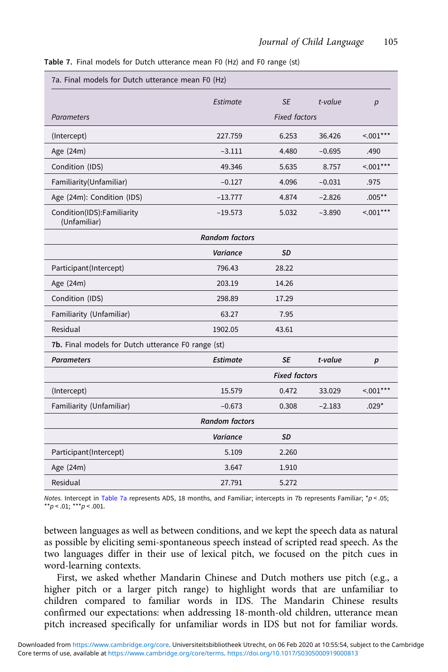<span id="page-20-0"></span>

|  |  |  |  |  | Table 7. Final models for Dutch utterance mean F0 (Hz) and F0 range (st) |  |  |  |  |  |  |  |
|--|--|--|--|--|--------------------------------------------------------------------------|--|--|--|--|--|--|--|
|--|--|--|--|--|--------------------------------------------------------------------------|--|--|--|--|--|--|--|

| 7a. Final models for Dutch utterance mean F0 (Hz)  |                       |                      |          |             |  |  |  |
|----------------------------------------------------|-----------------------|----------------------|----------|-------------|--|--|--|
|                                                    | Estimate              | <b>SE</b>            | t-value  | p           |  |  |  |
| Parameters                                         |                       | <b>Fixed factors</b> |          |             |  |  |  |
| (Intercept)                                        | 227.759               | 6.253                | 36.426   | $1801***$   |  |  |  |
| Age (24m)                                          | $-3.111$              | 4.480                | $-0.695$ | .490        |  |  |  |
| Condition (IDS)                                    | 49.346                | 5.635                | 8.757    | $1001***$   |  |  |  |
| Familiarity (Unfamiliar)                           | $-0.127$              | 4.096                | $-0.031$ | .975        |  |  |  |
| Age (24m): Condition (IDS)                         | $-13.777$             | 4.874                | $-2.826$ | $.005***$   |  |  |  |
| Condition(IDS):Familiarity<br>(Unfamiliar)         | $-19.573$             | 5.032                | $-3.890$ | $< 0.01***$ |  |  |  |
|                                                    | <b>Random factors</b> |                      |          |             |  |  |  |
|                                                    | Variance              | SD                   |          |             |  |  |  |
| Participant(Intercept)                             | 796.43                | 28.22                |          |             |  |  |  |
| Age (24m)                                          | 203.19                | 14.26                |          |             |  |  |  |
| Condition (IDS)                                    | 298.89                | 17.29                |          |             |  |  |  |
| Familiarity (Unfamiliar)                           | 63.27                 | 7.95                 |          |             |  |  |  |
| Residual                                           | 1902.05               | 43.61                |          |             |  |  |  |
| 7b. Final models for Dutch utterance F0 range (st) |                       |                      |          |             |  |  |  |
| <b>Parameters</b>                                  | <b>Estimate</b>       | <b>SE</b>            | t-value  | p           |  |  |  |
|                                                    |                       | <b>Fixed factors</b> |          |             |  |  |  |
| (Intercept)                                        | 15.579                | 0.472                | 33.029   | $< 0.01***$ |  |  |  |
| Familiarity (Unfamiliar)                           | $-0.673$              | 0.308                | $-2.183$ | $.029*$     |  |  |  |
|                                                    | <b>Random factors</b> |                      |          |             |  |  |  |
|                                                    | Variance              | SD                   |          |             |  |  |  |
| Participant(Intercept)                             | 5.109                 | 2.260                |          |             |  |  |  |
| Age (24m)                                          | 3.647                 | 1.910                |          |             |  |  |  |
| Residual                                           | 27.791                | 5.272                |          |             |  |  |  |

Notes. Intercept in Table 7a represents ADS, 18 months, and Familiar; intercepts in 7b represents Familiar;  $*p < .05$ ; \*\* $p$  < .01; \*\*\* $p$  < .001.

between languages as well as between conditions, and we kept the speech data as natural as possible by eliciting semi-spontaneous speech instead of scripted read speech. As the two languages differ in their use of lexical pitch, we focused on the pitch cues in word-learning contexts.

First, we asked whether Mandarin Chinese and Dutch mothers use pitch (e.g., a higher pitch or a larger pitch range) to highlight words that are unfamiliar to children compared to familiar words in IDS. The Mandarin Chinese results confirmed our expectations: when addressing 18-month-old children, utterance mean pitch increased specifically for unfamiliar words in IDS but not for familiar words.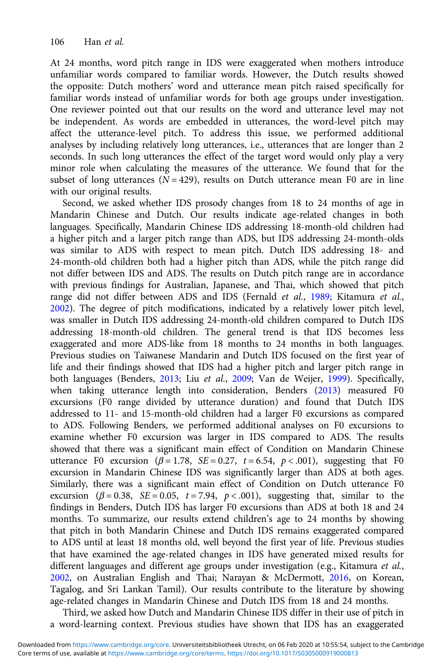At 24 months, word pitch range in IDS were exaggerated when mothers introduce unfamiliar words compared to familiar words. However, the Dutch results showed the opposite: Dutch mothers' word and utterance mean pitch raised specifically for familiar words instead of unfamiliar words for both age groups under investigation. One reviewer pointed out that our results on the word and utterance level may not be independent. As words are embedded in utterances, the word-level pitch may affect the utterance-level pitch. To address this issue, we performed additional analyses by including relatively long utterances, i.e., utterances that are longer than 2 seconds. In such long utterances the effect of the target word would only play a very minor role when calculating the measures of the utterance. We found that for the subset of long utterances ( $N = 429$ ), results on Dutch utterance mean F0 are in line with our original results.

Second, we asked whether IDS prosody changes from 18 to 24 months of age in Mandarin Chinese and Dutch. Our results indicate age-related changes in both languages. Specifically, Mandarin Chinese IDS addressing 18-month-old children had a higher pitch and a larger pitch range than ADS, but IDS addressing 24-month-olds was similar to ADS with respect to mean pitch. Dutch IDS addressing 18- and 24-month-old children both had a higher pitch than ADS, while the pitch range did not differ between IDS and ADS. The results on Dutch pitch range are in accordance with previous findings for Australian, Japanese, and Thai, which showed that pitch range did not differ between ADS and IDS (Fernald et al., [1989](#page-25-0); Kitamura et al., [2002\)](#page-25-0). The degree of pitch modifications, indicated by a relatively lower pitch level, was smaller in Dutch IDS addressing 24-month-old children compared to Dutch IDS addressing 18-month-old children. The general trend is that IDS becomes less exaggerated and more ADS-like from 18 months to 24 months in both languages. Previous studies on Taiwanese Mandarin and Dutch IDS focused on the first year of life and their findings showed that IDS had a higher pitch and larger pitch range in both languages (Benders, [2013](#page-24-0); Liu et al., [2009;](#page-25-0) Van de Weijer, [1999\)](#page-26-0). Specifically, when taking utterance length into consideration, Benders ([2013](#page-24-0)) measured F0 excursions (F0 range divided by utterance duration) and found that Dutch IDS addressed to 11- and 15-month-old children had a larger F0 excursions as compared to ADS. Following Benders, we performed additional analyses on F0 excursions to examine whether F0 excursion was larger in IDS compared to ADS. The results showed that there was a significant main effect of Condition on Mandarin Chinese utterance F0 excursion ( $\beta = 1.78$ ,  $SE = 0.27$ ,  $t = 6.54$ ,  $p < .001$ ), suggesting that F0 excursion in Mandarin Chinese IDS was significantly larger than ADS at both ages. Similarly, there was a significant main effect of Condition on Dutch utterance F0 excursion ( $\beta = 0.38$ ,  $SE = 0.05$ ,  $t = 7.94$ ,  $p < .001$ ), suggesting that, similar to the findings in Benders, Dutch IDS has larger F0 excursions than ADS at both 18 and 24 months. To summarize, our results extend children's age to 24 months by showing that pitch in both Mandarin Chinese and Dutch IDS remains exaggerated compared to ADS until at least 18 months old, well beyond the first year of life. Previous studies that have examined the age-related changes in IDS have generated mixed results for different languages and different age groups under investigation (e.g., Kitamura et al., [2002,](#page-25-0) on Australian English and Thai; Narayan & McDermott, [2016](#page-26-0), on Korean, Tagalog, and Sri Lankan Tamil). Our results contribute to the literature by showing age-related changes in Mandarin Chinese and Dutch IDS from 18 and 24 months.

Third, we asked how Dutch and Mandarin Chinese IDS differ in their use of pitch in a word-learning context. Previous studies have shown that IDS has an exaggerated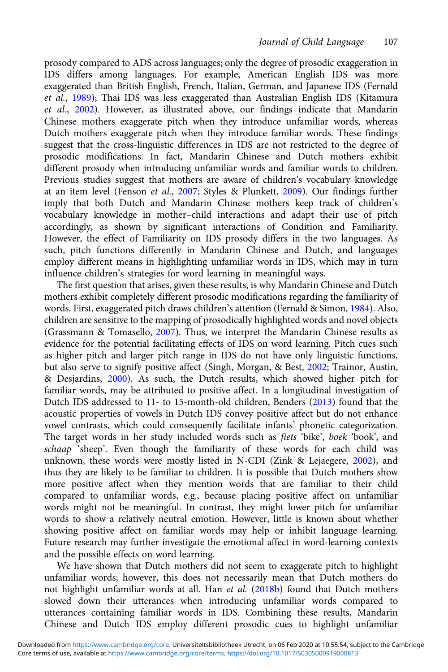prosody compared to ADS across languages; only the degree of prosodic exaggeration in IDS differs among languages. For example, American English IDS was more exaggerated than British English, French, Italian, German, and Japanese IDS (Fernald et al., [1989\)](#page-25-0); Thai IDS was less exaggerated than Australian English IDS (Kitamura et al., [2002\)](#page-25-0). However, as illustrated above, our findings indicate that Mandarin Chinese mothers exaggerate pitch when they introduce unfamiliar words, whereas Dutch mothers exaggerate pitch when they introduce familiar words. These findings suggest that the cross-linguistic differences in IDS are not restricted to the degree of prosodic modifications. In fact, Mandarin Chinese and Dutch mothers exhibit different prosody when introducing unfamiliar words and familiar words to children. Previous studies suggest that mothers are aware of children's vocabulary knowledge at an item level (Fenson et al., [2007;](#page-24-0) Styles & Plunkett, [2009\)](#page-26-0). Our findings further imply that both Dutch and Mandarin Chinese mothers keep track of children's vocabulary knowledge in mother–child interactions and adapt their use of pitch accordingly, as shown by significant interactions of Condition and Familiarity. However, the effect of Familiarity on IDS prosody differs in the two languages. As such, pitch functions differently in Mandarin Chinese and Dutch, and languages employ different means in highlighting unfamiliar words in IDS, which may in turn influence children's strategies for word learning in meaningful ways.

The first question that arises, given these results, is why Mandarin Chinese and Dutch mothers exhibit completely different prosodic modifications regarding the familiarity of words. First, exaggerated pitch draws children's attention (Fernald & Simon, [1984](#page-24-0)). Also, children are sensitive to the mapping of prosodically highlighted words and novel objects (Grassmann & Tomasello, [2007\)](#page-25-0). Thus, we interpret the Mandarin Chinese results as evidence for the potential facilitating effects of IDS on word learning. Pitch cues such as higher pitch and larger pitch range in IDS do not have only linguistic functions, but also serve to signify positive affect (Singh, Morgan, & Best, [2002](#page-26-0); Trainor, Austin, & Desjardins, [2000](#page-26-0)). As such, the Dutch results, which showed higher pitch for familiar words, may be attributed to positive affect. In a longitudinal investigation of Dutch IDS addressed to 11- to 15-month-old children, Benders ([2013](#page-24-0)) found that the acoustic properties of vowels in Dutch IDS convey positive affect but do not enhance vowel contrasts, which could consequently facilitate infants' phonetic categorization. The target words in her study included words such as fiets 'bike', boek 'book', and schaap 'sheep'. Even though the familiarity of these words for each child was unknown, these words were mostly listed in N-CDI (Zink & Lejaegere, [2002](#page-26-0)), and thus they are likely to be familiar to children. It is possible that Dutch mothers show more positive affect when they mention words that are familiar to their child compared to unfamiliar words, e.g., because placing positive affect on unfamiliar words might not be meaningful. In contrast, they might lower pitch for unfamiliar words to show a relatively neutral emotion. However, little is known about whether showing positive affect on familiar words may help or inhibit language learning. Future research may further investigate the emotional affect in word-learning contexts and the possible effects on word learning.

We have shown that Dutch mothers did not seem to exaggerate pitch to highlight unfamiliar words; however, this does not necessarily mean that Dutch mothers do not highlight unfamiliar words at all. Han et al. [\(2018b\)](#page-25-0) found that Dutch mothers slowed down their utterances when introducing unfamiliar words compared to utterances containing familiar words in IDS. Combining these results, Mandarin Chinese and Dutch IDS employ different prosodic cues to highlight unfamiliar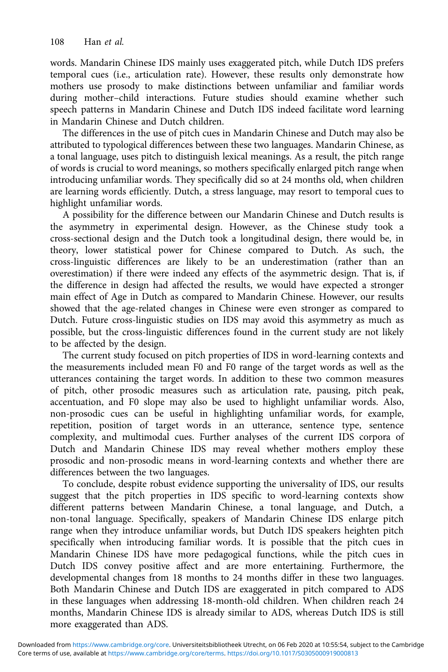words. Mandarin Chinese IDS mainly uses exaggerated pitch, while Dutch IDS prefers temporal cues (i.e., articulation rate). However, these results only demonstrate how mothers use prosody to make distinctions between unfamiliar and familiar words during mother–child interactions. Future studies should examine whether such speech patterns in Mandarin Chinese and Dutch IDS indeed facilitate word learning in Mandarin Chinese and Dutch children.

The differences in the use of pitch cues in Mandarin Chinese and Dutch may also be attributed to typological differences between these two languages. Mandarin Chinese, as a tonal language, uses pitch to distinguish lexical meanings. As a result, the pitch range of words is crucial to word meanings, so mothers specifically enlarged pitch range when introducing unfamiliar words. They specifically did so at 24 months old, when children are learning words efficiently. Dutch, a stress language, may resort to temporal cues to highlight unfamiliar words.

A possibility for the difference between our Mandarin Chinese and Dutch results is the asymmetry in experimental design. However, as the Chinese study took a cross-sectional design and the Dutch took a longitudinal design, there would be, in theory, lower statistical power for Chinese compared to Dutch. As such, the cross-linguistic differences are likely to be an underestimation (rather than an overestimation) if there were indeed any effects of the asymmetric design. That is, if the difference in design had affected the results, we would have expected a stronger main effect of Age in Dutch as compared to Mandarin Chinese. However, our results showed that the age-related changes in Chinese were even stronger as compared to Dutch. Future cross-linguistic studies on IDS may avoid this asymmetry as much as possible, but the cross-linguistic differences found in the current study are not likely to be affected by the design.

The current study focused on pitch properties of IDS in word-learning contexts and the measurements included mean F0 and F0 range of the target words as well as the utterances containing the target words. In addition to these two common measures of pitch, other prosodic measures such as articulation rate, pausing, pitch peak, accentuation, and F0 slope may also be used to highlight unfamiliar words. Also, non-prosodic cues can be useful in highlighting unfamiliar words, for example, repetition, position of target words in an utterance, sentence type, sentence complexity, and multimodal cues. Further analyses of the current IDS corpora of Dutch and Mandarin Chinese IDS may reveal whether mothers employ these prosodic and non-prosodic means in word-learning contexts and whether there are differences between the two languages.

To conclude, despite robust evidence supporting the universality of IDS, our results suggest that the pitch properties in IDS specific to word-learning contexts show different patterns between Mandarin Chinese, a tonal language, and Dutch, a non-tonal language. Specifically, speakers of Mandarin Chinese IDS enlarge pitch range when they introduce unfamiliar words, but Dutch IDS speakers heighten pitch specifically when introducing familiar words. It is possible that the pitch cues in Mandarin Chinese IDS have more pedagogical functions, while the pitch cues in Dutch IDS convey positive affect and are more entertaining. Furthermore, the developmental changes from 18 months to 24 months differ in these two languages. Both Mandarin Chinese and Dutch IDS are exaggerated in pitch compared to ADS in these languages when addressing 18-month-old children. When children reach 24 months, Mandarin Chinese IDS is already similar to ADS, whereas Dutch IDS is still more exaggerated than ADS.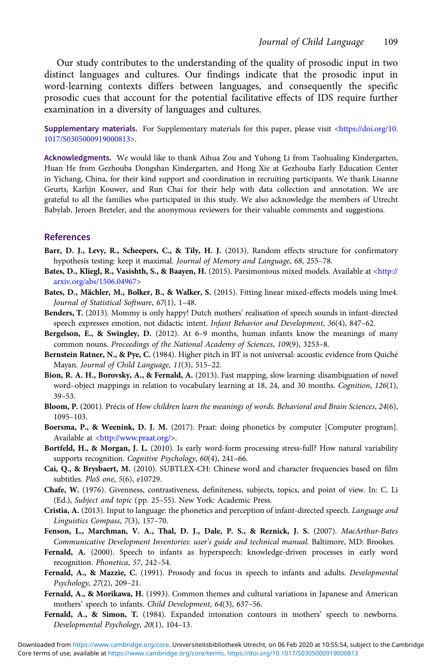<span id="page-24-0"></span>Our study contributes to the understanding of the quality of prosodic input in two distinct languages and cultures. Our findings indicate that the prosodic input in word-learning contexts differs between languages, and consequently the specific prosodic cues that account for the potential facilitative effects of IDS require further examination in a diversity of languages and cultures.

Supplementary materials. For Supplementary materials for this paper, please visit [<https://doi.org/10.](https://doi.org/10.1017/S0305000919000813) [1017/S0305000919000813](https://doi.org/10.1017/S0305000919000813)>.

Acknowledgments. We would like to thank Aihua Zou and Yuhong Li from Taohualing Kindergarten, Huan He from Gezhouba Dongshan Kindergarten, and Hong Xie at Gezhouba Early Education Center in Yichang, China, for their kind support and coordination in recruiting participants. We thank Lisanne Geurts, Karlijn Kouwer, and Run Chai for their help with data collection and annotation. We are grateful to all the families who participated in this study. We also acknowledge the members of Utrecht Babylab, Jeroen Breteler, and the anonymous reviewers for their valuable comments and suggestions.

#### References

- Barr, D. J., Levy, R., Scheepers, C., & Tily, H. J. (2013). Random effects structure for confirmatory hypothesis testing: keep it maximal. Journal of Memory and Language, 68, 255–78.
- Bates, D., Kliegl, R., Vasishth, S., & Baayen, H. (2015). Parsimonious mixed models. Available at [<http://](http://arxiv.org/abs/1506.04967) [arxiv.org/abs/1506.04967](http://arxiv.org/abs/1506.04967)>
- Bates, D., Mächler, M., Bolker, B., & Walker, S. (2015). Fitting linear mixed-effects models using lme4. Journal of Statistical Software, 67(1), 1–48.
- Benders, T. (2013). Mommy is only happy! Dutch mothers' realisation of speech sounds in infant-directed speech expresses emotion, not didactic intent. Infant Behavior and Development, 36(4), 847-62.
- Bergelson, E., & Swingley, D. (2012). At 6–9 months, human infants know the meanings of many common nouns. Proceedings of the National Academy of Sciences, 109(9), 3253–8.
- Bernstein Ratner, N., & Pye, C. (1984). Higher pitch in BT is not universal: acoustic evidence from Quiché Mayan. Journal of Child Language, 11(3), 515–22.
- Bion, R. A. H., Borovsky, A., & Fernald, A. (2013). Fast mapping, slow learning: disambiguation of novel word–object mappings in relation to vocabulary learning at 18, 24, and 30 months. Cognition, 126(1), 39–53.
- Bloom, P. (2001). Précis of How children learn the meanings of words. Behavioral and Brain Sciences, 24(6), 1095–103.
- Boersma, P., & Weenink, D. J. M. (2017). Praat: doing phonetics by computer [Computer program]. Available at [<http://www.praat.org/](http://www.praat.org/)>.
- Bortfeld, H., & Morgan, J. L. (2010). Is early word-form processing stress-full? How natural variability supports recognition. Cognitive Psychology, 60(4), 241–66.
- Cai, Q., & Brysbaert, M. (2010). SUBTLEX-CH: Chinese word and character frequencies based on film subtitles. PloS one, 5(6), e10729.
- Chafe, W. (1976). Givenness, contrastiveness, definiteness, subjects, topics, and point of view. In: C. Li (Ed.), Subject and topic (pp. 25–55). New York: Academic Press.
- Cristia, A. (2013). Input to language: the phonetics and perception of infant-directed speech. Language and Linguistics Compass, 7(3), 157–70.
- Fenson, L., Marchman, V. A., Thal, D. J., Dale, P. S., & Reznick, J. S. (2007). MacArthur-Bates Communicative Development Inventories: user's guide and technical manual. Baltimore, MD: Brookes.
- Fernald, A. (2000). Speech to infants as hyperspeech: knowledge-driven processes in early word recognition. Phonetica, 57, 242–54.
- Fernald, A., & Mazzie, C. (1991). Prosody and focus in speech to infants and adults. Developmental Psychology, 27(2), 209–21.
- Fernald, A., & Morikawa, H. (1993). Common themes and cultural variations in Japanese and American mothers' speech to infants. Child Development, 64(3), 637–56.
- Fernald, A., & Simon, T. (1984). Expanded intonation contours in mothers' speech to newborns. Developmental Psychology, 20(1), 104–13.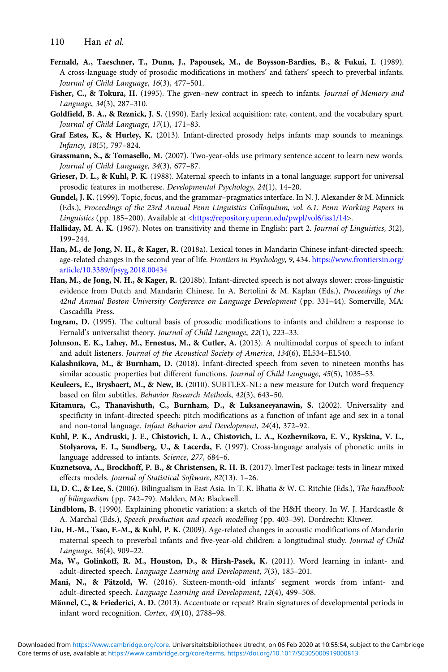- <span id="page-25-0"></span>Fernald, A., Taeschner, T., Dunn, J., Papousek, M., de Boysson-Bardies, B., & Fukui, I. (1989). A cross-language study of prosodic modifications in mothers' and fathers' speech to preverbal infants. Journal of Child Language, 16(3), 477–501.
- Fisher, C., & Tokura, H. (1995). The given–new contract in speech to infants. Journal of Memory and Language, 34(3), 287–310.
- Goldfield, B. A., & Reznick, J. S. (1990). Early lexical acquisition: rate, content, and the vocabulary spurt. Journal of Child Language, 17(1), 171–83.
- Graf Estes, K., & Hurley, K. (2013). Infant-directed prosody helps infants map sounds to meanings. Infancy, 18(5), 797–824.
- Grassmann, S., & Tomasello, M. (2007). Two-year-olds use primary sentence accent to learn new words. Journal of Child Language, 34(3), 677–87.
- Grieser, D. L., & Kuhl, P. K. (1988). Maternal speech to infants in a tonal language: support for universal prosodic features in motherese. Developmental Psychology, 24(1), 14–20.
- Gundel, J. K. (1999). Topic, focus, and the grammar–pragmatics interface. In N. J. Alexander & M. Minnick (Eds.), Proceedings of the 23rd Annual Penn Linguistics Colloquium, vol. 6.1. Penn Working Papers in Linguistics (pp. 185-200). Available at [<https://repository.upenn.edu/pwpl/vol6/iss1/14](https://repository.upenn.edu/pwpl/vol6/iss1/14)>.
- Halliday, M. A. K. (1967). Notes on transitivity and theme in English: part 2. Journal of Linguistics, 3(2), 199–244.
- Han, M., de Jong, N. H., & Kager, R. (2018a). Lexical tones in Mandarin Chinese infant-directed speech: age-related changes in the second year of life. Frontiers in Psychology, 9, 434. [https://www.frontiersin.org/](https://www.frontiersin.org/article/10.3389/fpsyg.2018.00434) [article/10.3389/fpsyg.2018.00434](https://www.frontiersin.org/article/10.3389/fpsyg.2018.00434)
- Han, M., de Jong, N. H., & Kager, R. (2018b). Infant-directed speech is not always slower: cross-linguistic evidence from Dutch and Mandarin Chinese. In A. Bertolini & M. Kaplan (Eds.), Proceedings of the 42nd Annual Boston University Conference on Language Development (pp. 331–44). Somerville, MA: Cascadilla Press.
- Ingram, D. (1995). The cultural basis of prosodic modifications to infants and children: a response to Fernald's universalist theory. Journal of Child Language, 22(1), 223–33.
- Johnson, E. K., Lahey, M., Ernestus, M., & Cutler, A. (2013). A multimodal corpus of speech to infant and adult listeners. Journal of the Acoustical Society of America, 134(6), EL534–EL540.
- Kalashnikova, M., & Burnham, D. (2018). Infant-directed speech from seven to nineteen months has similar acoustic properties but different functions. Journal of Child Language, 45(5), 1035–53.
- Keuleers, E., Brysbaert, M., & New, B. (2010). SUBTLEX-NL: a new measure for Dutch word frequency based on film subtitles. Behavior Research Methods, 42(3), 643–50.
- Kitamura, C., Thanavishuth, C., Burnham, D., & Luksaneeyanawin, S. (2002). Universality and specificity in infant-directed speech: pitch modifications as a function of infant age and sex in a tonal and non-tonal language. Infant Behavior and Development, 24(4), 372–92.
- Kuhl, P. K., Andruski, J. E., Chistovich, I. A., Chistovich, L. A., Kozhevnikova, E. V., Ryskina, V. L., Stolyarova, E. I., Sundberg, U., & Lacerda, F. (1997). Cross-language analysis of phonetic units in language addressed to infants. Science, 277, 684–6.
- Kuznetsova, A., Brockhoff, P. B., & Christensen, R. H. B. (2017). lmerTest package: tests in linear mixed effects models. Journal of Statistical Software, 82(13). 1–26.
- Li, D. C., & Lee, S. (2006). Bilingualism in East Asia. In T. K. Bhatia & W. C. Ritchie (Eds.), The handbook of bilingualism (pp. 742–79). Malden, MA: Blackwell.
- Lindblom, B. (1990). Explaining phonetic variation: a sketch of the H&H theory. In W. J. Hardcastle & A. Marchal (Eds.), Speech production and speech modelling (pp. 403–39). Dordrecht: Kluwer.
- Liu, H.-M., Tsao, F.-M., & Kuhl, P. K. (2009). Age-related changes in acoustic modifications of Mandarin maternal speech to preverbal infants and five-year-old children: a longitudinal study. Journal of Child Language, 36(4), 909–22.
- Ma, W., Golinkoff, R. M., Houston, D., & Hirsh-Pasek, K. (2011). Word learning in infant- and adult-directed speech. Language Learning and Development, 7(3), 185–201.
- Mani, N., & Pätzold, W. (2016). Sixteen-month-old infants' segment words from infant- and adult-directed speech. Language Learning and Development, 12(4), 499–508.
- Männel, C., & Friederici, A. D. (2013). Accentuate or repeat? Brain signatures of developmental periods in infant word recognition. Cortex, 49(10), 2788–98.